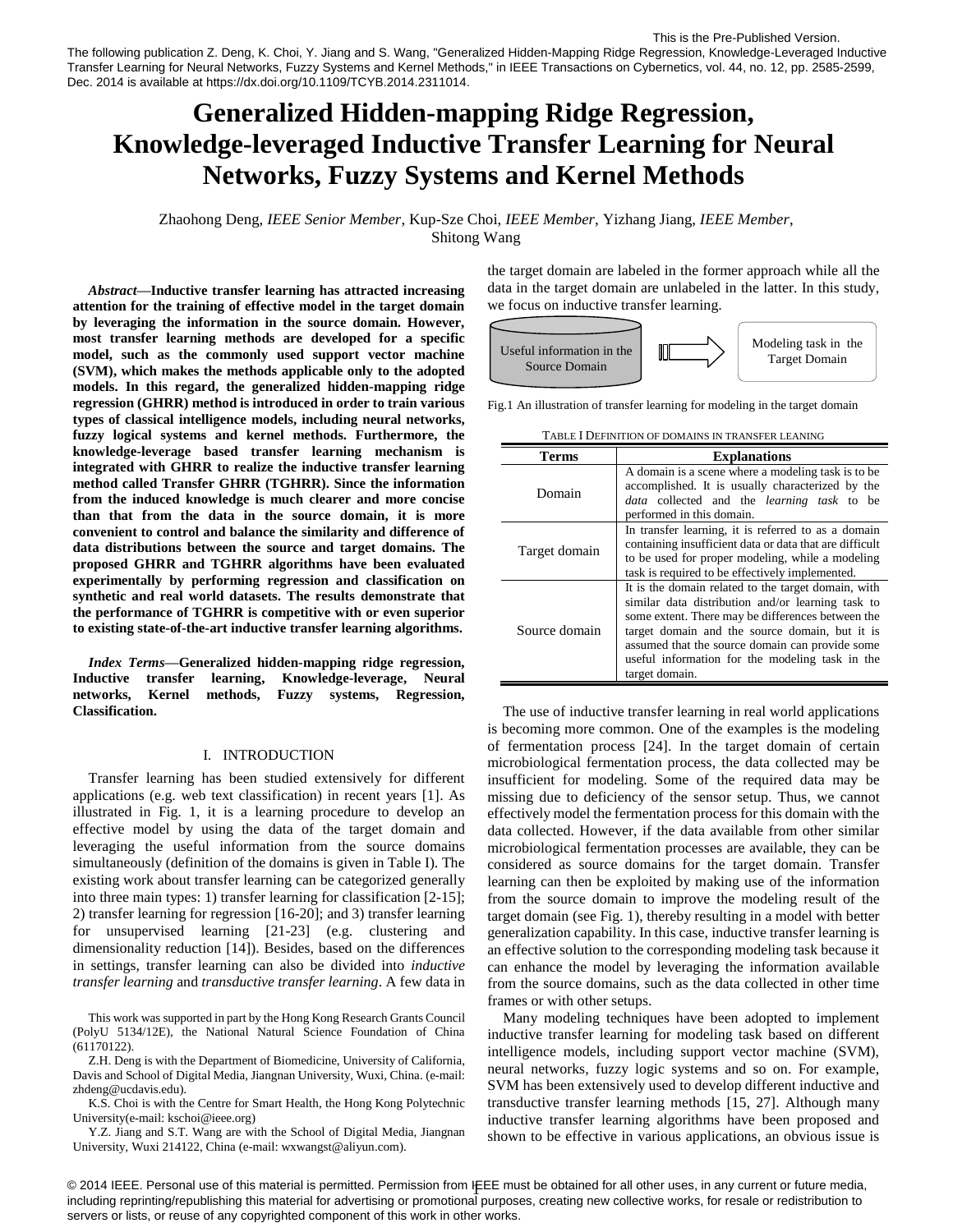# **Generalized Hidden-mapping Ridge Regression, Knowledge-leveraged Inductive Transfer Learning for Neural Networks, Fuzzy Systems and Kernel Methods**

Zhaohong Deng, *IEEE Senior Member*, Kup-Sze Choi, *IEEE Member*, Yizhang Jiang, *IEEE Member*, Shitong Wang

*Abstract***—Inductive transfer learning has attracted increasing attention for the training of effective model in the target domain by leveraging the information in the source domain. However, most transfer learning methods are developed for a specific model, such as the commonly used support vector machine (SVM), which makes the methods applicable only to the adopted models. In this regard, the generalized hidden-mapping ridge regression (GHRR) method is introduced in order to train various types of classical intelligence models, including neural networks, fuzzy logical systems and kernel methods. Furthermore, the knowledge-leverage based transfer learning mechanism is integrated with GHRR to realize the inductive transfer learning method called Transfer GHRR (TGHRR). Since the information from the induced knowledge is much clearer and more concise than that from the data in the source domain, it is more convenient to control and balance the similarity and difference of data distributions between the source and target domains. The proposed GHRR and TGHRR algorithms have been evaluated experimentally by performing regression and classification on synthetic and real world datasets. The results demonstrate that the performance of TGHRR is competitive with or even superior to existing state-of-the-art inductive transfer learning algorithms.**

*Index Terms***—Generalized hidden-mapping ridge regression, Inductive transfer learning, Knowledge-leverage, Neural networks, Kernel methods, Fuzzy systems, Regression, Classification.**

# I. INTRODUCTION

Transfer learning has been studied extensively for different applications (e.g. web text classification) in recent years [1]. As illustrated in Fig. 1, it is a learning procedure to develop an effective model by using the data of the target domain and leveraging the useful information from the source domains simultaneously (definition of the domains is given in Table I). The existing work about transfer learning can be categorized generally into three main types: 1) transfer learning for classification [2-15]; 2) transfer learning for regression [16-20]; and 3) transfer learning for unsupervised learning [21-23] (e.g. clustering and dimensionality reduction [14]). Besides, based on the differences in settings, transfer learning can also be divided into *inductive transfer learning* and *transductive transfer learning*. A few data in

This work was supported in part by the Hong Kong Research Grants Council (PolyU 5134/12E), the National Natural Science Foundation of China [\(61170122\)](http://www.sciencedirect.com/science/article/pii/S089360801100267X#gs000010#gs000010).

Z.H. Deng is with the Department of Biomedicine, University of California, Davis and School of Digital Media, Jiangnan University, Wuxi, China. (e-mail: zhdeng@ucdavis.edu).

K.S. Choi is with th[e Centre for Smart Health,](http://myweb.polyu.edu.hk/~hscidh) the Hong Kong Polytechnic University(e-mail: kschoi@ieee.org)

Y.Z. Jiang and S.T. Wang are with the School of Digital Media, Jiangnan University, Wuxi 214122, China (e-mail: wxwangst@aliyun.com).

the target domain are labeled in the former approach while all the data in the target domain are unlabeled in the latter. In this study, we focus on inductive transfer learning.



Fig.1 An illustration of transfer learning for modeling in the target domain

| <b>Terms</b>  | <b>Explanations</b>                                                                                                                                                                                                                                                                                                                     |  |  |  |
|---------------|-----------------------------------------------------------------------------------------------------------------------------------------------------------------------------------------------------------------------------------------------------------------------------------------------------------------------------------------|--|--|--|
| Domain        | A domain is a scene where a modeling task is to be<br>accomplished. It is usually characterized by the<br><i>data</i> collected and the <i>learning task</i> to be<br>performed in this domain.                                                                                                                                         |  |  |  |
| Target domain | In transfer learning, it is referred to as a domain<br>containing insufficient data or data that are difficult<br>to be used for proper modeling, while a modeling<br>task is required to be effectively implemented.                                                                                                                   |  |  |  |
| Source domain | It is the domain related to the target domain, with<br>similar data distribution and/or learning task to<br>some extent. There may be differences between the<br>target domain and the source domain, but it is<br>assumed that the source domain can provide some<br>useful information for the modeling task in the<br>target domain. |  |  |  |

TABLE I DEFINITION OF DOMAINS IN TRANSFER LEANING

The use of inductive transfer learning in real world applications is becoming more common. One of the examples is the modeling of fermentation process [24]. In the target domain of certain microbiological fermentation process, the data collected may be insufficient for modeling. Some of the required data may be missing due to deficiency of the sensor setup. Thus, we cannot effectively model the fermentation process for this domain with the data collected. However, if the data available from other similar microbiological fermentation processes are available, they can be considered as source domains for the target domain. Transfer learning can then be exploited by making use of the information from the source domain to improve the modeling result of the target domain (see Fig. 1), thereby resulting in a model with better generalization capability. In this case, inductive transfer learning is an effective solution to the corresponding modeling task because it can enhance the model by leveraging the information available from the source domains, such as the data collected in other time frames or with other setups.

Many modeling techniques have been adopted to implement inductive transfer learning for modeling task based on different intelligence models, including support vector machine (SVM), neural networks, fuzzy logic systems and so on. For example, SVM has been extensively used to develop different inductive and transductive transfer learning methods [15, 27]. Although many inductive transfer learning algorithms have been proposed and shown to be effective in various applications, an obvious issue is

© 2014 IEEE. Personal use of this material is permitted. Permission from IEEE must be obtained for all other uses, in any current or future media, including reprinting/republishing this material for advertising or promotional purposes, creating new collective works, for resale or redistribution to servers or lists, or reuse of any copyrighted component of this work in other works.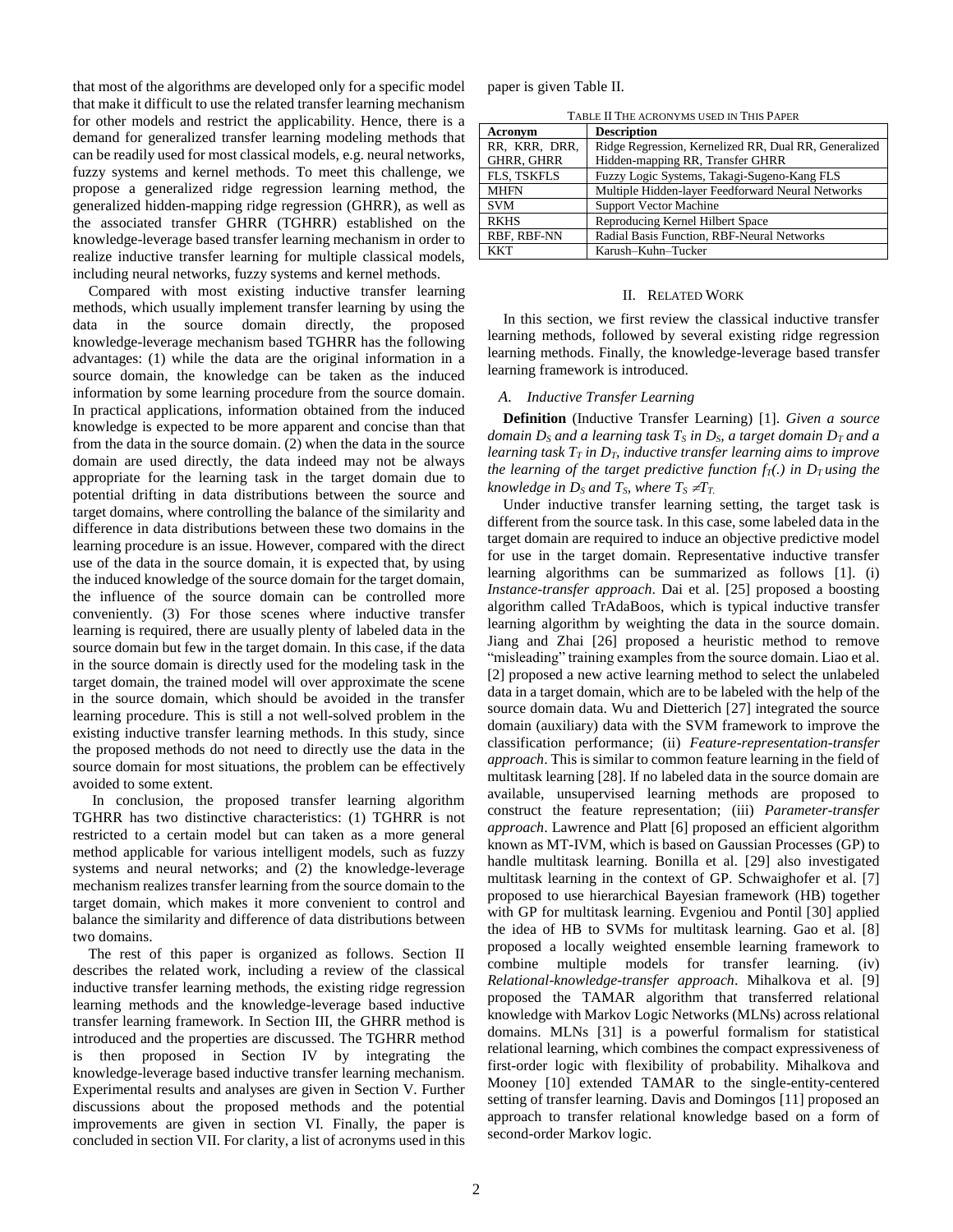that most of the algorithms are developed only for a specific model that make it difficult to use the related transfer learning mechanism for other models and restrict the applicability. Hence, there is a demand for generalized transfer learning modeling methods that can be readily used for most classical models, e.g. neural networks, fuzzy systems and kernel methods. To meet this challenge, we propose a generalized ridge regression learning method, the generalized hidden-mapping ridge regression (GHRR), as well as the associated transfer GHRR (TGHRR) established on the knowledge-leverage based transfer learning mechanism in order to realize inductive transfer learning for multiple classical models, including neural networks, fuzzy systems and kernel methods.

Compared with most existing inductive transfer learning methods, which usually implement transfer learning by using the data in the source domain directly, the proposed knowledge-leverage mechanism based TGHRR has the following advantages: (1) while the data are the original information in a source domain, the knowledge can be taken as the induced information by some learning procedure from the source domain. In practical applications, information obtained from the induced knowledge is expected to be more apparent and concise than that from the data in the source domain. (2) when the data in the source domain are used directly, the data indeed may not be always appropriate for the learning task in the target domain due to potential drifting in data distributions between the source and target domains, where controlling the balance of the similarity and difference in data distributions between these two domains in the learning procedure is an issue. However, compared with the direct use of the data in the source domain, it is expected that, by using the induced knowledge of the source domain for the target domain, the influence of the source domain can be controlled more conveniently. (3) For those scenes where inductive transfer learning is required, there are usually plenty of labeled data in the source domain but few in the target domain. In this case, if the data in the source domain is directly used for the modeling task in the target domain, the trained model will over approximate the scene in the source domain, which should be avoided in the transfer learning procedure. This is still a not well-solved problem in the existing inductive transfer learning methods. In this study, since the proposed methods do not need to directly use the data in the source domain for most situations, the problem can be effectively avoided to some extent.

In conclusion, the proposed transfer learning algorithm TGHRR has two distinctive characteristics: (1) TGHRR is not restricted to a certain model but can taken as a more general method applicable for various intelligent models, such as fuzzy systems and neural networks; and (2) the knowledge-leverage mechanism realizes transfer learning from the source domain to the target domain, which makes it more convenient to control and balance the similarity and difference of data distributions between two domains.

The rest of this paper is organized as follows. Section II describes the related work, including a review of the classical inductive transfer learning methods, the existing ridge regression learning methods and the knowledge-leverage based inductive transfer learning framework. In Section III, the GHRR method is introduced and the properties are discussed. The TGHRR method is then proposed in Section IV by integrating the knowledge-leverage based inductive transfer learning mechanism. Experimental results and analyses are given in Section V. Further discussions about the proposed methods and the potential improvements are given in section VI. Finally, the paper is concluded in section VII. For clarity, a list of acronyms used in this paper is given Table II.

TABLE II THE ACRONYMS USED IN THIS PAPER

| Acronym           | <b>Description</b>                                    |
|-------------------|-------------------------------------------------------|
| RR, KRR, DRR,     | Ridge Regression, Kernelized RR, Dual RR, Generalized |
| <b>GHRR, GHRR</b> | Hidden-mapping RR, Transfer GHRR                      |
| FLS, TSKFLS       | Fuzzy Logic Systems, Takagi-Sugeno-Kang FLS           |
| <b>MHFN</b>       | Multiple Hidden-layer Feedforward Neural Networks     |
| <b>SVM</b>        | <b>Support Vector Machine</b>                         |
| <b>RKHS</b>       | Reproducing Kernel Hilbert Space                      |
| RBF. RBF-NN       | Radial Basis Function, RBF-Neural Networks            |
| <b>KKT</b>        | Karush-Kuhn-Tucker                                    |

#### II. RELATED WORK

In this section, we first review the classical inductive transfer learning methods, followed by several existing ridge regression learning methods. Finally, the knowledge-leverage based transfer learning framework is introduced.

# *A. Inductive Transfer Learning*

**Definition** (Inductive Transfer Learning) [1]. *Given a source domain D<sup>S</sup> and a learning task T<sup>S</sup> in DS, a target domain D<sup>T</sup> and a learning task T<sup>T</sup> in DT, inductive transfer learning aims to improve the learning of the target predictive function*  $f_T(.)$  *in D<sub>T</sub> using the knowledge in D<sub>S</sub> and T<sub>S</sub></sub>, where*  $T_s \neq T_T$ .

Under inductive transfer learning setting, the target task is different from the source task. In this case, some labeled data in the target domain are required to induce an objective predictive model for use in the target domain. Representative inductive transfer learning algorithms can be summarized as follows [1]. (i) *Instance-transfer approach*. Dai et al. [25] proposed a boosting algorithm called TrAdaBoos, which is typical inductive transfer learning algorithm by weighting the data in the source domain. Jiang and Zhai [26] proposed a heuristic method to remove "misleading" training examples from the source domain. Liao et al. [2] proposed a new active learning method to select the unlabeled data in a target domain, which are to be labeled with the help of the source domain data. Wu and Dietterich [27] integrated the source domain (auxiliary) data with the SVM framework to improve the classification performance; (ii) *Feature-representation-transfer approach*. This is similar to common feature learning in the field of multitask learning [28]. If no labeled data in the source domain are available, unsupervised learning methods are proposed to construct the feature representation; (iii) *Parameter-transfer approach*. Lawrence and Platt [6] proposed an efficient algorithm known as MT-IVM, which is based on Gaussian Processes (GP) to handle multitask learning. Bonilla et al. [29] also investigated multitask learning in the context of GP. Schwaighofer et al. [7] proposed to use hierarchical Bayesian framework (HB) together with GP for multitask learning. Evgeniou and Pontil [30] applied the idea of HB to SVMs for multitask learning. Gao et al. [8] proposed a locally weighted ensemble learning framework to combine multiple models for transfer learning. (iv) *Relational-knowledge-transfer approach*. Mihalkova et al. [9] proposed the TAMAR algorithm that transferred relational knowledge with Markov Logic Networks (MLNs) across relational domains. MLNs [31] is a powerful formalism for statistical relational learning, which combines the compact expressiveness of first-order logic with flexibility of probability. Mihalkova and Mooney [10] extended TAMAR to the single-entity-centered setting of transfer learning. Davis and Domingos [11] proposed an approach to transfer relational knowledge based on a form of second-order Markov logic.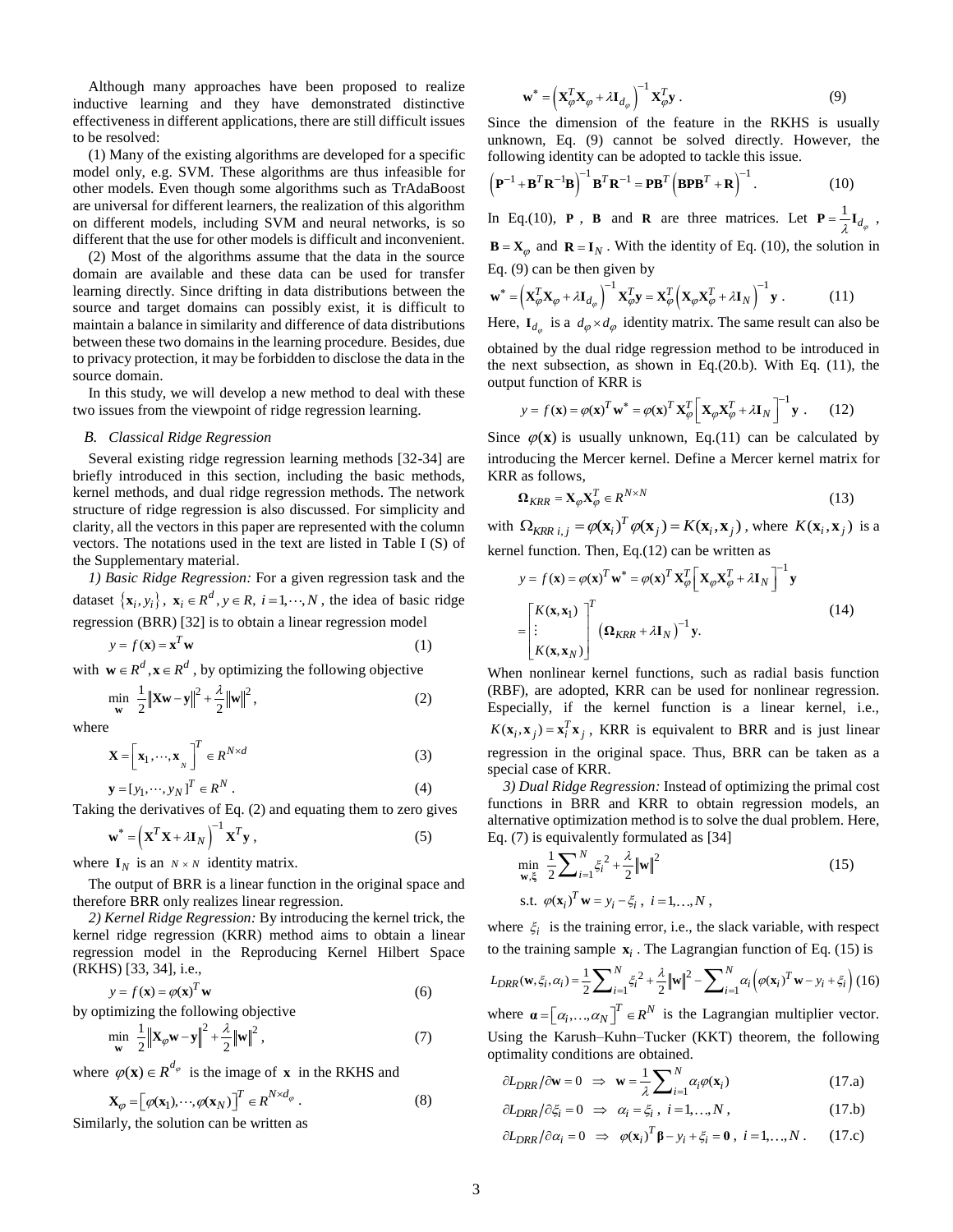Although many approaches have been proposed to realize inductive learning and they have demonstrated distinctive effectiveness in different applications, there are still difficult issues to be resolved:

(1) Many of the existing algorithms are developed for a specific model only, e.g. SVM. These algorithms are thus infeasible for other models. Even though some algorithms such as TrAdaBoost are universal for different learners, the realization of this algorithm on different models, including SVM and neural networks, is so different that the use for other models is difficult and inconvenient.

(2) Most of the algorithms assume that the data in the source domain are available and these data can be used for transfer learning directly. Since drifting in data distributions between the source and target domains can possibly exist, it is difficult to maintain a balance in similarity and difference of data distributions between these two domains in the learning procedure. Besides, due to privacy protection, it may be forbidden to disclose the data in the source domain.

In this study, we will develop a new method to deal with these two issues from the viewpoint of ridge regression learning.

# *B. Classical Ridge Regression*

Several existing ridge regression learning methods [32-34] are briefly introduced in this section, including the basic methods, kernel methods, and dual ridge regression methods. The network structure of ridge regression is also discussed. For simplicity and clarity, all the vectors in this paper are represented with the column vectors. The notations used in the text are listed in Table I (S) of the Supplementary material.

*1) Basic Ridge Regression:* For a given regression task and the dataset  $\{\mathbf{x}_i, y_i\}$ ,  $\mathbf{x}_i \in R^d$ ,  $y \in R$ ,  $i = 1, \dots, N$ , the idea of basic ridge regression (BRR) [32] is to obtain a linear regression model

$$
y = f(\mathbf{x}) = \mathbf{x}^T \mathbf{w}
$$
 (1)

with  $\mathbf{w} \in \mathbb{R}^d$ ,  $\mathbf{x} \in \mathbb{R}^d$ , by optimizing the following objective

$$
\min_{\mathbf{w}} \ \frac{1}{2} ||\mathbf{X}\mathbf{w} - \mathbf{y}||^2 + \frac{\lambda}{2} ||\mathbf{w}||^2,
$$
 (2)

where

$$
\mathbf{X} = \left[ \mathbf{x}_1, \cdots, \mathbf{x}_N \right]^T \in R^{N \times d} \tag{3}
$$

$$
\mathbf{y} = [y_1, \cdots, y_N]^T \in \mathbb{R}^N.
$$
 (4)

Taking the derivatives of Eq. (2) and equating them to zero gives

$$
\mathbf{w}^* = \left(\mathbf{X}^T \mathbf{X} + \lambda \mathbf{I}_N\right)^{-1} \mathbf{X}^T \mathbf{y} \tag{5}
$$

where  $I_N$  is an  $N \times N$  identity matrix.

The output of BRR is a linear function in the original space and therefore BRR only realizes linear regression.

*2) Kernel Ridge Regression:* By introducing the kernel trick, the kernel ridge regression (KRR) method aims to obtain a linear regression model in the Reproducing Kernel Hilbert Space (RKHS) [33, 34], i.e.,

$$
y = f(\mathbf{x}) = \varphi(\mathbf{x})^T \mathbf{w}
$$
 (6)

by optimizing the following objective

$$
\min_{\mathbf{w}} \frac{1}{2} \left\| \mathbf{X}_{\varphi} \mathbf{w} - \mathbf{y} \right\|^2 + \frac{\lambda}{2} \left\| \mathbf{w} \right\|^2, \tag{7}
$$

where  $\varphi(\mathbf{x}) \in R^{d_{\varphi}}$  is the image of **x** in the RKHS and

$$
\mathbf{X}_{\varphi} = \left[\varphi(\mathbf{x}_1), \cdots, \varphi(\mathbf{x}_N)\right]^T \in \mathbb{R}^{N \times d_{\varphi}}.
$$
\n(8)

Similarly, the solution can be written as

$$
\mathbf{w}^* = \left(\mathbf{X}_{\varphi}^T \mathbf{X}_{\varphi} + \lambda \mathbf{I}_{d_{\varphi}}\right)^{-1} \mathbf{X}_{\varphi}^T \mathbf{y} . \tag{9}
$$

Since the dimension of the feature in the RKHS is usually unknown, Eq. (9) cannot be solved directly. However, the

following identity can be adopted to tackle this issue.  
\n
$$
\left(\mathbf{P}^{-1} + \mathbf{B}^T \mathbf{R}^{-1} \mathbf{B}\right)^{-1} \mathbf{B}^T \mathbf{R}^{-1} = \mathbf{P} \mathbf{B}^T \left(\mathbf{B} \mathbf{P} \mathbf{B}^T + \mathbf{R}\right)^{-1}.
$$
\n(10)

In Eq.(10), **P**, **B** and **R** are three matrices. Let  $P = \frac{1}{2}$  $P = \frac{1}{\lambda} I_{d_{\varphi}}$ ,

 $\mathbf{B} = \mathbf{X}_{\varphi}$  and  $\mathbf{R} = \mathbf{I}_N$ . With the identity of Eq. (10), the solution in Eq. (9) can be then given by

$$
\mathbf{w}^* = \left(\mathbf{X}_{\varphi}^T \mathbf{X}_{\varphi} + \lambda \mathbf{I}_{d_{\varphi}}\right)^{-1} \mathbf{X}_{\varphi}^T \mathbf{y} = \mathbf{X}_{\varphi}^T \left(\mathbf{X}_{\varphi} \mathbf{X}_{\varphi}^T + \lambda \mathbf{I}_N\right)^{-1} \mathbf{y} . \tag{11}
$$

Here, 
$$
I_{d_{\varphi}}
$$
 is a  $d_{\varphi} \times d_{\varphi}$  identity matrix. The same result can also be

obtained by the dual ridge regression method to be introduced in the next subsection, as shown in Eq.(20.b). With Eq. (11), the output function of KRR is

$$
y = f(\mathbf{x}) = \varphi(\mathbf{x})^T \mathbf{w}^* = \varphi(\mathbf{x})^T \mathbf{X}_{\varphi}^T \left[ \mathbf{X}_{\varphi} \mathbf{X}_{\varphi}^T + \lambda \mathbf{I}_N \right]^{-1} \mathbf{y} . \tag{12}
$$

Since  $\varphi(\mathbf{x})$  is usually unknown, Eq.(11) can be calculated by introducing the Mercer kernel. Define a Mercer kernel matrix for KRR as follows,

$$
\Omega_{KRR} = \mathbf{X}_{\varphi} \mathbf{X}_{\varphi}^T \in \mathbb{R}^{N \times N}
$$
 (13)

with  $\Omega_{KRR i,j} = \varphi(\mathbf{x}_i)^T \varphi(\mathbf{x}_j) = K(\mathbf{x}_i, \mathbf{x}_j)$ , where  $K(\mathbf{x}_i, \mathbf{x}_j)$  is a

kernel function. Then, Eq.(12) can be written as  
\n
$$
y = f(\mathbf{x}) = \varphi(\mathbf{x})^T \mathbf{w}^* = \varphi(\mathbf{x})^T \mathbf{X}_{\varphi}^T \left[ \mathbf{X}_{\varphi} \mathbf{X}_{\varphi}^T + \lambda \mathbf{I}_N \right]^{-1} \mathbf{y}
$$
\n
$$
= \begin{bmatrix} K(\mathbf{x}, \mathbf{x}_1) \\ \vdots \\ K(\mathbf{x}, \mathbf{x}_N) \end{bmatrix}^T (\Omega_{KRR} + \lambda \mathbf{I}_N)^{-1} \mathbf{y}.
$$
\n(14)

When nonlinear kernel functions, such as radial basis function (RBF), are adopted, KRR can be used for nonlinear regression. Especially, if the kernel function is a linear kernel, i.e.,  $K(\mathbf{x}_i, \mathbf{x}_j) = \mathbf{x}_i^T \mathbf{x}_j$ , KRR is equivalent to BRR and is just linear regression in the original space. Thus, BRR can be taken as a special case of KRR.

*3) Dual Ridge Regression:* Instead of optimizing the primal cost functions in BRR and KRR to obtain regression models, an alternative optimization method is to solve the dual problem. Here, Eq. (7) is equivalently formulated as [34]

$$
\min_{\mathbf{w}, \xi} \frac{1}{2} \sum_{i=1}^{N} \xi_i^2 + \frac{\lambda}{2} ||\mathbf{w}||^2
$$
\n
$$
\text{s.t. } \varphi(\mathbf{x}_i)^T \mathbf{w} = y_i - \xi_i, \ i = 1, ..., N \,,
$$
\n(15)

where  $\xi$  is the training error, i.e., the slack variable, with respect

where 
$$
\xi_i
$$
 is the training error, i.e., the slack variable, with respect  
to the training sample  $\mathbf{x}_i$ . The Lagrangian function of Eq. (15) is  

$$
L_{DRR}(\mathbf{w}, \xi_i, \alpha_i) = \frac{1}{2} \sum_{i=1}^{N} \xi_i^2 + \frac{\lambda}{2} ||\mathbf{w}||^2 - \sum_{i=1}^{N} \alpha_i \left( \varphi(\mathbf{x}_i)^T \mathbf{w} - y_i + \xi_i \right)
$$
(16)

where  $\boldsymbol{\alpha} = [\alpha_i, ..., \alpha_N]^T \in \mathbb{R}^N$  is the Lagrangian multiplier vector. Using the Karush–Kuhn–Tucker (KKT) theorem, the following optimality conditions are obtained.

$$
\partial L_{DRR}/\partial \mathbf{w} = 0 \Rightarrow \mathbf{w} = \frac{1}{\lambda} \sum_{i=1}^{N} \alpha_i \varphi(\mathbf{x}_i)
$$
 (17.a)

$$
\frac{\partial L_{DRR}}{\partial \xi_i} = 0 \implies \alpha_i = \xi_i, \ i = 1, \dots, N \,, \tag{17.b}
$$

$$
\frac{\partial L_{DRR}}{\partial \alpha_i} = 0 \Rightarrow \varphi(\mathbf{x}_i)^T \mathbf{\beta} - y_i + \xi_i = \mathbf{0}, \ i = 1, ..., N. \quad (17.c)
$$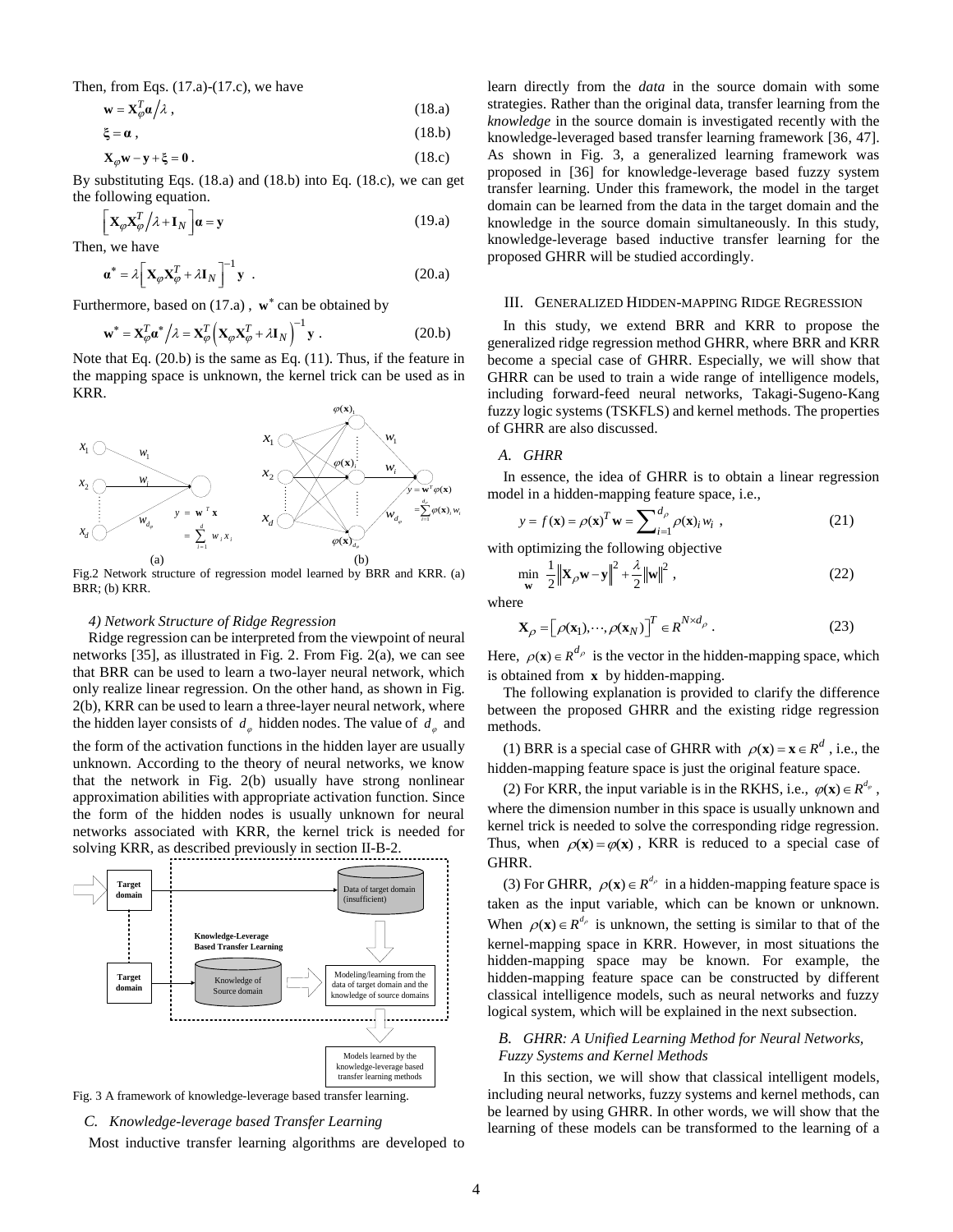Then, from Eqs.  $(17.a)-(17.c)$ , we have

$$
\mathbf{w} = \mathbf{X}_{\varphi}^T \mathbf{\alpha} / \lambda \tag{18.3}
$$

$$
\xi = \alpha \tag{18.b}
$$

$$
\mathbf{X}_{\varphi}\mathbf{w} - \mathbf{y} + \xi = \mathbf{0} \,. \tag{18.c}
$$

By substituting Eqs. (18.a) and (18.b) into Eq. (18.c), we can get the following equation.

$$
\left[\mathbf{X}_{\varphi}\mathbf{X}_{\varphi}^{T}/\lambda+\mathbf{I}_{N}\right]\mathbf{a}=\mathbf{y}
$$
\n(19.a)

Then, we have

$$
\boldsymbol{a}^* = \lambda \Big[ \mathbf{X}_{\varphi} \mathbf{X}_{\varphi}^T + \lambda \mathbf{I}_N \Big]^{-1} \mathbf{y} . \tag{20. a}
$$

Furthermore, based on (17.a), w<sup>\*</sup> can be obtained by

$$
\mathbf{w}^* = \mathbf{X}_{\varphi}^T \mathbf{\alpha}^* / \lambda = \mathbf{X}_{\varphi}^T \left( \mathbf{X}_{\varphi} \mathbf{X}_{\varphi}^T + \lambda \mathbf{I}_N \right)^{-1} \mathbf{y} .
$$
 (20.b)

Note that Eq. (20.b) is the same as Eq. (11). Thus, if the feature in the mapping space is unknown, the kernel trick can be used as in KRR.



Fig.2 Network structure of regression model learned by BRR and KRR. (a) BRR; (b) KRR.

# *4) Network Structure of Ridge Regression*

Ridge regression can be interpreted from the viewpoint of neural networks [35], as illustrated in Fig. 2. From Fig. 2(a), we can see that BRR can be used to learn a two-layer neural network, which only realize linear regression. On the other hand, as shown in Fig. 2(b), KRR can be used to learn a three-layer neural network, where the hidden layer consists of  $d_{\varphi}$  hidden nodes. The value of  $d_{\varphi}$  and the form of the activation functions in the hidden layer are usually unknown. According to the theory of neural networks, we know that the network in Fig. 2(b) usually have strong nonlinear approximation abilities with appropriate activation function. Since the form of the hidden nodes is usually unknown for neural networks associated with KRR, the kernel trick is needed for solving KRR, as described previously in section II-B-2.





#### *C. Knowledge-leverage based Transfer Learning*

Most inductive transfer learning algorithms are developed to

learn directly from the *data* in the source domain with some strategies. Rather than the original data, transfer learning from the *knowledge* in the source domain is investigated recently with the knowledge-leveraged based transfer learning framework [36, 47]. As shown in Fig. 3, a generalized learning framework was proposed in [36] for knowledge-leverage based fuzzy system transfer learning. Under this framework, the model in the target domain can be learned from the data in the target domain and the knowledge in the source domain simultaneously. In this study, knowledge-leverage based inductive transfer learning for the proposed GHRR will be studied accordingly.

#### III. GENERALIZED HIDDEN-MAPPING RIDGE REGRESSION

In this study, we extend BRR and KRR to propose the generalized ridge regression method GHRR, where BRR and KRR become a special case of GHRR. Especially, we will show that GHRR can be used to train a wide range of intelligence models, including forward-feed neural networks, Takagi-Sugeno-Kang fuzzy logic systems (TSKFLS) and kernel methods. The properties of GHRR are also discussed.

### *A. GHRR*

 $=\frac{\nabla^T \varphi(\mathbf{x})}{\sum_{i=1}^{d_x} \varphi(\mathbf{x})_i w_i}$  model in a hidden-mapping feature space, i.e., In essence, the idea of GHRR is to obtain a linear regression

$$
y = f(\mathbf{x}) = \rho(\mathbf{x})^T \mathbf{w} = \sum_{i=1}^{d_{\rho}} \rho(\mathbf{x})_i w_i,
$$
 (21)

with optimizing the following objective

$$
\min_{\mathbf{w}} \frac{1}{2} \left\| \mathbf{X}_{\rho} \mathbf{w} - \mathbf{y} \right\|^2 + \frac{\lambda}{2} \left\| \mathbf{w} \right\|^2,
$$
\n(22)

where

$$
\mathbf{X}_{\rho} = \left[\rho(\mathbf{x}_1), \cdots, \rho(\mathbf{x}_N)\right]^T \in \mathbb{R}^{N \times d_{\rho}}.
$$
 (23)

Here,  $\rho(\mathbf{x}) \in R^{d_{\rho}}$  is the vector in the hidden-mapping space, which is obtained from **x** by hidden-mapping.

The following explanation is provided to clarify the difference between the proposed GHRR and the existing ridge regression methods.

(1) BRR is a special case of GHRR with  $\rho(\mathbf{x}) = \mathbf{x} \in R^d$ , i.e., the hidden-mapping feature space is just the original feature space.

(2) For KRR, the input variable is in the RKHS, i.e.,  $\varphi(\mathbf{x}) \in R^{d_{\varphi}}$ , where the dimension number in this space is usually unknown and kernel trick is needed to solve the corresponding ridge regression. Thus, when  $\rho(x) = \varphi(x)$ , KRR is reduced to a special case of GHRR.

(3) For GHRR,  $\rho$ (**x**)  $\in$   $R^{d_{\rho}}$  in a hidden-mapping feature space is taken as the input variable, which can be known or unknown. When  $\rho(\mathbf{x}) \in R^{d_{\rho}}$  is unknown, the setting is similar to that of the kernel-mapping space in KRR. However, in most situations the hidden-mapping space may be known. For example, the hidden-mapping feature space can be constructed by different classical intelligence models, such as neural networks and fuzzy logical system, which will be explained in the next subsection.

# *B. GHRR: A Unified Learning Method for Neural Networks, Fuzzy Systems and Kernel Methods*

In this section, we will show that classical intelligent models, including neural networks, fuzzy systems and kernel methods, can be learned by using GHRR. In other words, we will show that the learning of these models can be transformed to the learning of a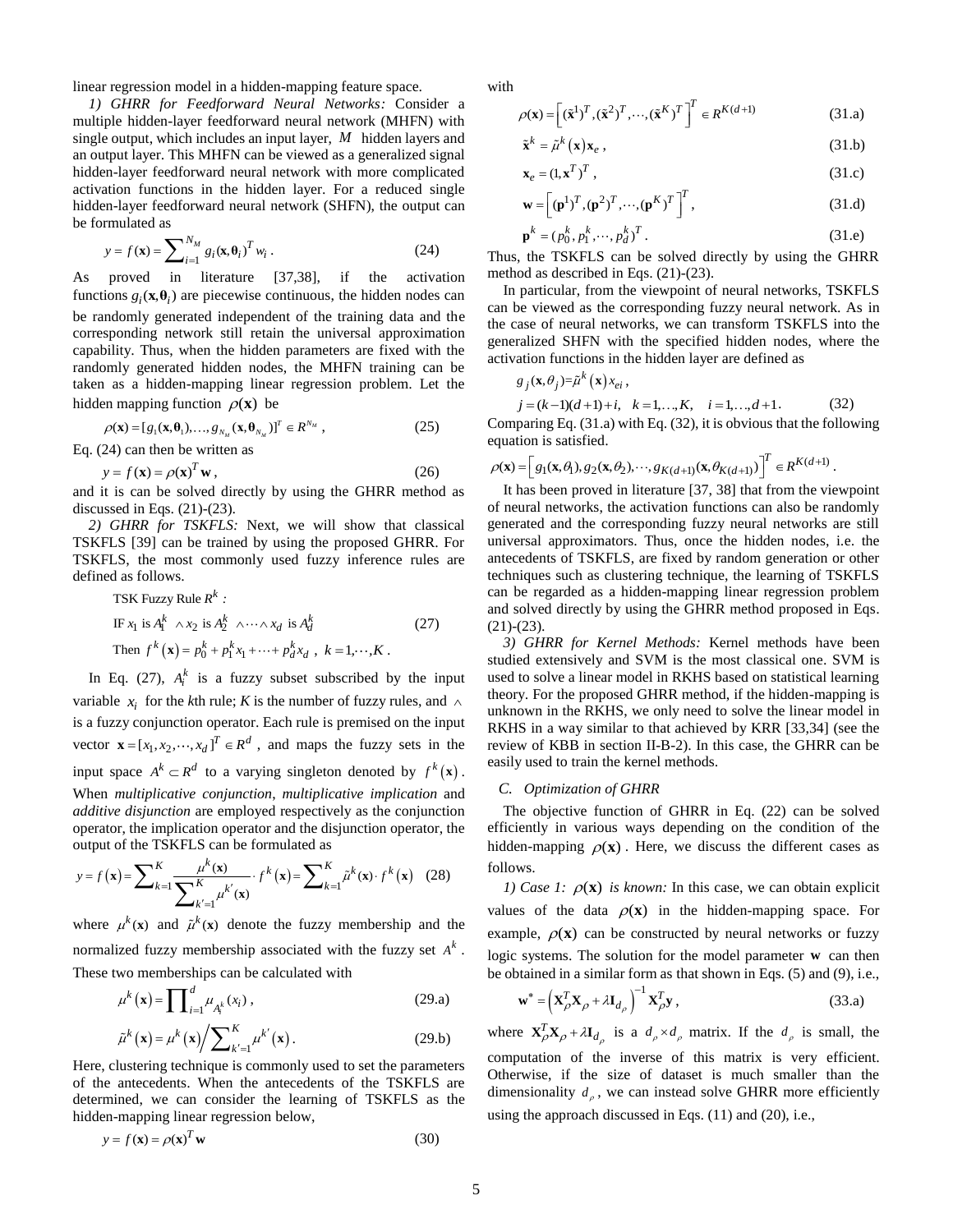linear regression model in a hidden-mapping feature space.

*1) GHRR for Feedforward Neural Networks:* Consider a multiple hidden-layer feedforward neural network (MHFN) with single output, which includes an input layer, *M* hidden layers and an output layer. This MHFN can be viewed as a generalized signal hidden-layer feedforward neural network with more complicated activation functions in the hidden layer. For a reduced single hidden-layer feedforward neural network (SHFN), the output can be formulated as

$$
y = f(\mathbf{x}) = \sum_{i=1}^{N_M} g_i(\mathbf{x}, \theta_i)^T w_i.
$$
 (24)

As proved in literature [37,38], if the activation functions  $g_i(\mathbf{x}, \theta_i)$  are piecewise continuous, the hidden nodes can be randomly generated independent of the training data and the corresponding network still retain the universal approximation capability. Thus, when the hidden parameters are fixed with the randomly generated hidden nodes, the MHFN training can be taken as a hidden-mapping linear regression problem. Let the hidden mapping function  $\rho(\mathbf{x})$  be

$$
\rho(\mathbf{x}) = [g_1(\mathbf{x}, \theta_1), \dots, g_{N_M}(\mathbf{x}, \theta_{N_M})]^T \in R^{N_M},
$$
\n(25)

Eq. (24) can then be written as

$$
y = f(\mathbf{x}) = \rho(\mathbf{x})^T \mathbf{w},\tag{26}
$$

and it is can be solved directly by using the GHRR method as discussed in Eqs.  $(21)-(23)$ .

*2) GHRR for TSKFLS:* Next, we will show that classical TSKFLS [39] can be trained by using the proposed GHRR. For TSKFLS, the most commonly used fuzzy inference rules are defined as follows.

TSK Fuzzy Rule 
$$
R^k
$$
:

\nIf  $x_1$  is  $A_1^k \wedge x_2$  is  $A_2^k \wedge \cdots \wedge x_d$  is  $A_d^k$ 

\nThen  $f^k(\mathbf{x}) = p_0^k + p_1^k x_1 + \cdots + p_d^k x_d$ ,  $k = 1, \cdots, K$ .

In Eq. (27),  $A_i^k$  is a fuzzy subset subscribed by the input variable  $x_i$  for the *k*th rule; *K* is the number of fuzzy rules, and  $\wedge$ is a fuzzy conjunction operator. Each rule is premised on the input vector  $\mathbf{x} = [x_1, x_2, \dots, x_d]^T \in \mathbb{R}^d$ , and maps the fuzzy sets in the input space  $A^k \subset R^d$  to a varying singleton denoted by  $f^k(\mathbf{x})$ . When *multiplicative conjunction*, *multiplicative implication* and *additive disjunction* are employed respectively as the conjunction

$$
\begin{aligned}\n\text{equation: } \text{d}\mathbf{z} &= \text{displacement of the } \mathbf{z} \text{ is the } \mathbf{z} \text{ is the } \mathbf{z} \text{ is the } \mathbf{z} \text{ is the } \mathbf{z} \text{ is the } \mathbf{z} \text{ is the } \mathbf{z} \text{ is the } \mathbf{z} \text{ is the } \mathbf{z} \text{ is the } \mathbf{z} \text{ is the } \mathbf{z} \text{ is the } \mathbf{z} \text{ is the } \mathbf{z} \text{ is the } \mathbf{z} \text{ is the } \mathbf{z} \text{ is the } \mathbf{z} \text{ is the } \mathbf{z} \text{ is the } \mathbf{z} \text{ is the } \mathbf{z} \text{ is the } \mathbf{z} \text{ is the } \mathbf{z} \text{ is the } \mathbf{z} \text{ is the } \mathbf{z} \text{ is the } \mathbf{z} \text{ is the } \mathbf{z} \text{ is the } \mathbf{z} \text{ is the } \mathbf{z} \text{ is the } \mathbf{z} \text{ is the } \mathbf{z} \text{ is the } \mathbf{z} \text{ is the } \mathbf{z} \text{ is the } \mathbf{z} \text{ is the } \mathbf{z} \text{ is the } \mathbf{z} \text{ is the } \mathbf{z} \text{ is the } \mathbf{z} \text{ is the } \mathbf{z} \text{ is the } \mathbf{z} \text{ is the } \mathbf{z} \text{ is the } \mathbf{z} \text{ is the } \mathbf{z} \text{ is the } \mathbf{z} \text{ is the } \mathbf{z} \text{ is the } \mathbf{z} \text{ is the } \mathbf{z} \text{ is the } \mathbf{z} \text{ is the } \mathbf{z} \text{ is the } \mathbf{z} \text{ is the } \mathbf{z} \text{ is the } \mathbf{z} \text{ is the } \mathbf{z} \text{ is the } \mathbf{z} \text{ is the } \mathbf{z} \text{ is the } \mathbf{z} \text{ is the } \mathbf{z} \text{ is the } \mathbf{z} \text{ is the } \mathbf{z} \text{ is the } \mathbf{z} \text{ is the } \mathbf{z} \text{ is the } \mathbf{z} \text{ is the } \mathbf{z
$$

where  $\mu^k(x)$  and  $\tilde{\mu}^k(x)$  denote the fuzzy membership and the normalized fuzzy membership associated with the fuzzy set  $A^k$ . These two memberships can be calculated with

$$
\mu^{k}(\mathbf{x}) = \prod_{i=1}^{d} \mu_{A_{i}^{k}}(x_{i}),
$$
\n
$$
\tilde{\mu}^{k}(\mathbf{x}) = \mu^{k}(\mathbf{x}) / \sum_{k'=1}^{K} \mu^{k'}(\mathbf{x}).
$$
\n(29.1)

Here, clustering technique is commonly used to set the parameters of the antecedents. When the antecedents of the TSKFLS are determined, we can consider the learning of TSKFLS as the hidden-mapping linear regression below,

$$
y = f(\mathbf{x}) = \rho(\mathbf{x})^T \mathbf{w}
$$
 (30)

with

$$
\rho(\mathbf{x}) = \left[ (\tilde{\mathbf{x}}^1)^T, (\tilde{\mathbf{x}}^2)^T, \cdots, (\tilde{\mathbf{x}}^K)^T \right]^T \in R^{K(d+1)}
$$
(31.a)

$$
\tilde{\mathbf{x}}^k = \tilde{\mu}^k(\mathbf{x}) \mathbf{x}_e, \qquad (31.b)
$$

$$
\mathbf{x}_e = (1, \mathbf{x}^T)^T \tag{31.c}
$$

$$
\mathbf{w} = \left[ (\mathbf{p}^1)^T , (\mathbf{p}^2)^T , \cdots , (\mathbf{p}^K)^T \right]^T , \tag{31.d}
$$

$$
\mathbf{p}^k = (p_0^k, p_1^k, \cdots, p_d^k)^T.
$$
 (31.e)

Thus, the TSKFLS can be solved directly by using the GHRR method as described in Eqs. (21)-(23).

In particular, from the viewpoint of neural networks, TSKFLS can be viewed as the corresponding fuzzy neural network. As in the case of neural networks, we can transform TSKFLS into the generalized SHFN with the specified hidden nodes, where the activation functions in the hidden layer are defined as

$$
g_j(\mathbf{x}, \theta_j) = \tilde{\mu}^k(\mathbf{x}) x_{ei},
$$
  
\n
$$
j = (k-1)(d+1) + i, \quad k = 1, ..., K, \quad i = 1, ..., d+1.
$$
 (32)

Comparing Eq. (31.a) with Eq. (32), it is obvious that the following

equation is satisfied.  
\n
$$
\rho(\mathbf{x}) = \left[ g_1(\mathbf{x}, \theta_1), g_2(\mathbf{x}, \theta_2), \cdots, g_{K(d+1)}(\mathbf{x}, \theta_{K(d+1)}) \right]^T \in R^{K(d+1)}.
$$

It has been proved in literature [37, 38] that from the viewpoint of neural networks, the activation functions can also be randomly generated and the corresponding fuzzy neural networks are still universal approximators. Thus, once the hidden nodes, i.e. the antecedents of TSKFLS, are fixed by random generation or other techniques such as clustering technique, the learning of TSKFLS can be regarded as a hidden-mapping linear regression problem and solved directly by using the GHRR method proposed in Eqs. (21)-(23).

*3) GHRR for Kernel Methods:* Kernel methods have been studied extensively and SVM is the most classical one. SVM is used to solve a linear model in RKHS based on statistical learning theory. For the proposed GHRR method, if the hidden-mapping is unknown in the RKHS, we only need to solve the linear model in RKHS in a way similar to that achieved by KRR [33,34] (see the review of KBB in section II-B-2). In this case, the GHRR can be easily used to train the kernel methods.

#### *C. Optimization of GHRR*

The objective function of GHRR in Eq. (22) can be solved efficiently in various ways depending on the condition of the hidden-mapping  $\rho(\mathbf{x})$ . Here, we discuss the different cases as follows.

*1) Case 1:*  $\rho(\mathbf{x})$  *is known:* In this case, we can obtain explicit values of the data  $\rho(\mathbf{x})$  in the hidden-mapping space. For example,  $\rho(\mathbf{x})$  can be constructed by neural networks or fuzzy logic systems. The solution for the model parameter **w** can then be obtained in a similar form as that shown in Eqs. (5) and (9), i.e.,

$$
\mathbf{w}^* = \left(\mathbf{X}_{\rho}^T \mathbf{X}_{\rho} + \lambda \mathbf{I}_{d_{\rho}}\right)^{-1} \mathbf{X}_{\rho}^T \mathbf{y},
$$
\n(33.a)

where  $\mathbf{X}_{\rho}^T \mathbf{X}_{\rho} + \lambda \mathbf{I}_{d_{\rho}}$  is a  $d_{\rho} \times d_{\rho}$  matrix. If the  $d_{\rho}$  is small, the computation of the inverse of this matrix is very efficient. Otherwise, if the size of dataset is much smaller than the dimensionality  $d_{\rho}$ , we can instead solve GHRR more efficiently using the approach discussed in Eqs. (11) and (20), i.e.,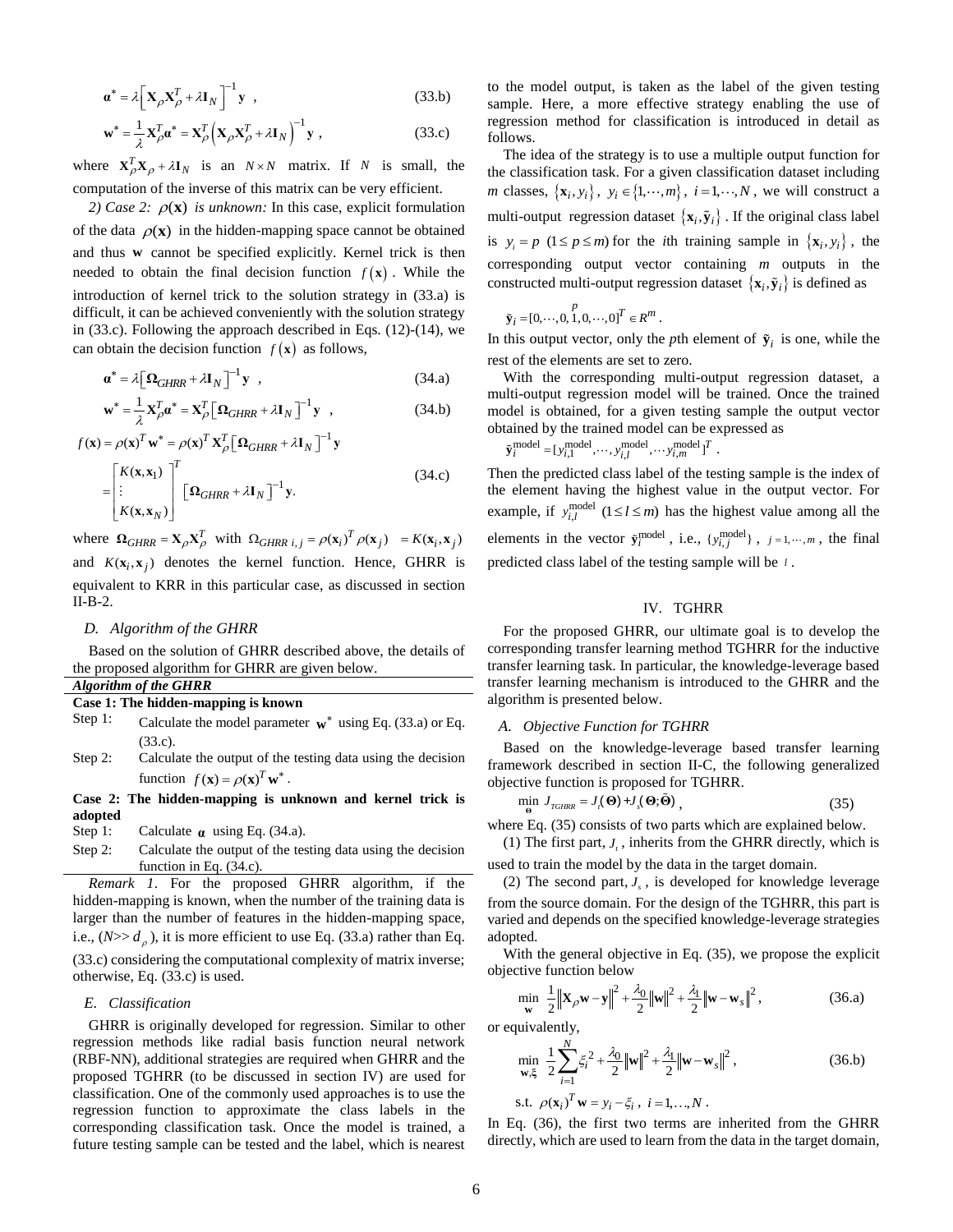$$
\mathbf{a}^* = \lambda \Big[ \mathbf{X}_{\rho} \mathbf{X}_{\rho}^T + \lambda \mathbf{I}_N \Big]^{-1} \mathbf{y} \quad , \tag{33.b}
$$

$$
\mathbf{w}^* = \frac{1}{\lambda} \mathbf{X}_{\rho}^T \mathbf{\alpha}^* = \mathbf{X}_{\rho}^T \Big( \mathbf{X}_{\rho} \mathbf{X}_{\rho}^T + \lambda \mathbf{I}_N \Big)^{-1} \mathbf{y} ,
$$
 (33.c)

where  $X_{\rho}^{T}X_{\rho} + \lambda I_{N}$  is an  $N \times N$  matrix. If N is small, the computation of the inverse of this matrix can be very efficient.

2) Case 2:  $\rho(\mathbf{x})$  is unknown: In this case, explicit formulation of the data  $\rho(\mathbf{x})$  in the hidden-mapping space cannot be obtained and thus **w** cannot be specified explicitly. Kernel trick is then needed to obtain the final decision function  $f(\mathbf{x})$ . While the introduction of kernel trick to the solution strategy in (33.a) is difficult, it can be achieved conveniently with the solution strategy in (33.c). Following the approach described in Eqs. (12)-(14), we can obtain the decision function  $f(\mathbf{x})$  as follows,

$$
\boldsymbol{\alpha}^* = \lambda \big[ \Omega_{GHRR} + \lambda \mathbf{I}_N \big]^{-1} \mathbf{y} \tag{34.3}
$$

$$
\mathbf{w}^* = \frac{1}{\lambda} \mathbf{X}_{\rho}^T \mathbf{a}^* = \mathbf{X}_{\rho}^T \left[ \mathbf{\Omega}_{GHRR} + \lambda \mathbf{I}_N \right]^{-1} \mathbf{y} ,
$$
 (34.b)  

$$
\mathbf{y} = \rho(\mathbf{x})^T \mathbf{w}^* = \rho(\mathbf{x})^T \mathbf{X}^T \left[ \mathbf{\Omega}_{CHRR} + \lambda \mathbf{I}_N \right]^{-1} \mathbf{y}
$$

$$
f(\mathbf{x}) = \rho(\mathbf{x})^T \mathbf{w}^* = \rho(\mathbf{x})^T \mathbf{X}_{\rho}^T \left[ \mathbf{\Omega}_{GHRR} + \lambda \mathbf{I}_N \right]^{-1} \mathbf{y}
$$
  
= 
$$
\begin{bmatrix} K(\mathbf{x}, \mathbf{x}_1) \\ \vdots \\ K(\mathbf{x}, \mathbf{x}_N) \end{bmatrix}^T \left[ \mathbf{\Omega}_{GHRR} + \lambda \mathbf{I}_N \right]^{-1} \mathbf{y}.
$$
 (34.c)

where  $\Omega_{GHRR} = \mathbf{X}_{\rho} \mathbf{X}_{\rho}^T$  with  $\Omega_{GHRR \ i,j} = \rho(\mathbf{x}_i)^T \rho(\mathbf{x}_j) = K(\mathbf{x}_i, \mathbf{x}_j)$ and  $K(\mathbf{x}_i, \mathbf{x}_j)$  denotes the kernel function. Hence, GHRR is equivalent to KRR in this particular case, as discussed in section II-B-2.

# *D. Algorithm of the GHRR*

Based on the solution of GHRR described above, the details of the proposed algorithm for GHRR are given below. *Algorithm of the GHRR*

| Algoranm of the Official |                                     |  |
|--------------------------|-------------------------------------|--|
|                          | Case 1: The hidden-mapping is known |  |

| Step 1: | Calculate the model parameter $w^*$ using Eq. (33.a) or Eq. |  |
|---------|-------------------------------------------------------------|--|
|         | (33.c).                                                     |  |

Step 2: Calculate the output of the testing data using the decision function  $f(\mathbf{x}) = \rho(\mathbf{x})^T \mathbf{w}^*$ .

**Case 2: The hidden-mapping is unknown and kernel trick is adopted**

- Step 1: Calculate  $\alpha$  using Eq. (34.a).
- Step 2: Calculate the output of the testing data using the decision function in Eq. (34.c).

*Remark 1*. For the proposed GHRR algorithm, if the hidden-mapping is known, when the number of the training data is larger than the number of features in the hidden-mapping space, i.e.,  $(N>> d<sub>\rho</sub>)$ , it is more efficient to use Eq. (33.a) rather than Eq.

(33.c) considering the computational complexity of matrix inverse; otherwise, Eq. (33.c) is used.

# *E. Classification*

GHRR is originally developed for regression. Similar to other regression methods like radial basis function neural network (RBF-NN), additional strategies are required when GHRR and the proposed TGHRR (to be discussed in section IV) are used for classification. One of the commonly used approaches is to use the regression function to approximate the class labels in the corresponding classification task. Once the model is trained, a future testing sample can be tested and the label, which is nearest

to the model output, is taken as the label of the given testing sample. Here, a more effective strategy enabling the use of regression method for classification is introduced in detail as follows.

The idea of the strategy is to use a multiple output function for the classification task. For a given classification dataset including *m* classes,  $\{x_i, y_i\}$ ,  $y_i \in \{1, \dots, m\}$ ,  $i = 1, \dots, N$ , we will construct a multi-output regression dataset  $\{x_i, \tilde{y}_i\}$ . If the original class label is  $y_i = p$  ( $1 \le p \le m$ ) for the *i*th training sample in  $\{x_i, y_i\}$ , the corresponding output vector containing *m* outputs in the constructed multi-output regression dataset  $\{x_i, \tilde{y}_i\}$  is defined as

$$
\tilde{\mathbf{y}}_i = [0, \cdots, 0, 1, 0, \cdots, 0]^T \in \mathbb{R}^m
$$
.

In this output vector, only the *p*th element of  $\tilde{\mathbf{y}}_i$  is one, while the rest of the elements are set to zero.

With the corresponding multi-output regression dataset, a multi-output regression model will be trained. Once the trained model is obtained, for a given testing sample the output vector obtained by the trained model can be expressed as  $\tilde{\mathbf{v}}^{\text{model}} = \mathbf{v}^{\text{model}} \dots \mathbf{v}^{\text{model}} \dots \mathbf{v}^{\text{model}}$ 

$$
\tilde{\mathbf{y}}_i^{\text{model}} = [y_{i,1}^{\text{model}}, \cdots, y_{i,l}^{\text{model}}, \cdots, y_{i,m}^{\text{model}}]^T.
$$

Then the predicted class label of the testing sample is the index of the element having the highest value in the output vector. For example, if  $y_{i,l}^{\text{model}}$  ( $1 \le l \le m$ ) has the highest value among all the elements in the vector  $\tilde{\mathbf{y}}_i^{\text{model}}$ , i.e.,  $\{y_{i,j}^{\text{model}}\}$ ,  $j = 1, \dots, m$ , the final predicted class label of the testing sample will be *l* .

# IV. TGHRR

For the proposed GHRR, our ultimate goal is to develop the corresponding transfer learning method TGHRR for the inductive transfer learning task. In particular, the knowledge-leverage based transfer learning mechanism is introduced to the GHRR and the algorithm is presented below.

# *A. Objective Function for TGHRR*

Based on the knowledge-leverage based transfer learning framework described in section II-C, the following generalized objective function is proposed for TGHRR.

$$
\min_{\Theta} J_{TGHRR} = J_{\Lambda}(\Theta) + J_{\Lambda}(\Theta; \tilde{\Theta}) , \qquad (35)
$$

where Eq. (35) consists of two parts which are explained below.

(1) The first part,  $J_t$ , inherits from the GHRR directly, which is

used to train the model by the data in the target domain.

(2) The second part,  $J_s$ , is developed for knowledge leverage from the source domain. For the design of the TGHRR, this part is varied and depends on the specified knowledge-leverage strategies adopted.

With the general objective in Eq. (35), we propose the explicit objective function below

$$
\min_{\mathbf{w}} \quad \frac{1}{2} \left\| \mathbf{X}_{\rho} \mathbf{w} - \mathbf{y} \right\|^2 + \frac{\lambda_0}{2} \left\| \mathbf{w} \right\|^2 + \frac{\lambda_1}{2} \left\| \mathbf{w} - \mathbf{w}_s \right\|^2, \tag{36.3}
$$

or equivalently,

$$
\min_{\mathbf{w}, \xi} \frac{1}{2} \sum_{i=1}^{N} \xi_i^2 + \frac{\lambda_0}{2} ||\mathbf{w}||^2 + \frac{\lambda_1}{2} ||\mathbf{w} - \mathbf{w}_s||^2,
$$
\n(36.b)\n  
s.t.  $\rho(\mathbf{x}_i)^T \mathbf{w} = y_i - \xi_i, \ i = 1, ..., N.$ 

In Eq. (36), the first two terms are inherited from the GHRR directly, which are used to learn from the data in the target domain,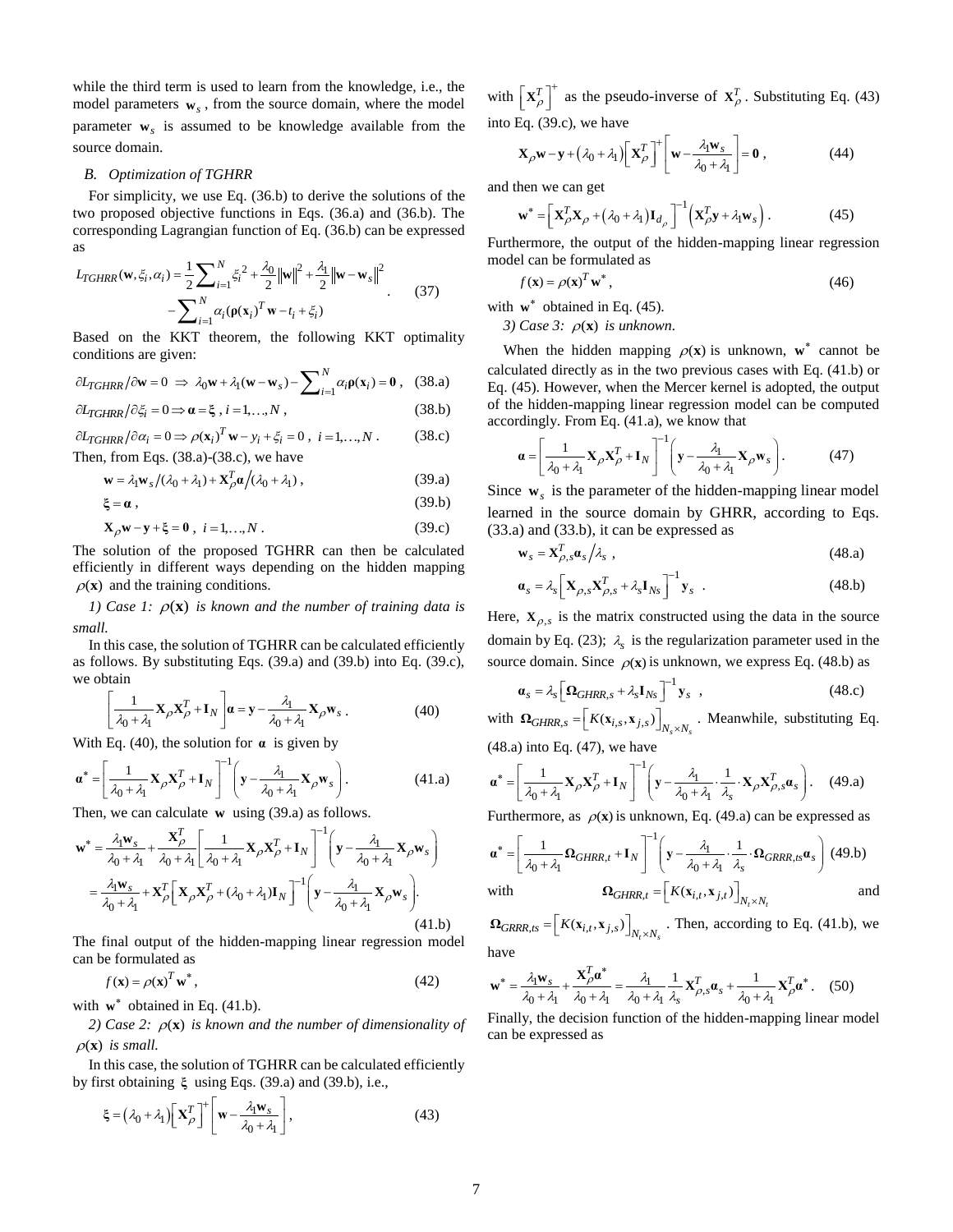while the third term is used to learn from the knowledge, i.e., the model parameters **w***s* , from the source domain, where the model parameter **w***s* is assumed to be knowledge available from the source domain.

#### *B. Optimization of TGHRR*

For simplicity, we use Eq. (36.b) to derive the solutions of the two proposed objective functions in Eqs. (36.a) and (36.b). The corresponding Lagrangian function of Eq. (36.b) can be expressed as

as  
\n
$$
L_{TGHRR}(\mathbf{w}, \xi_i, \alpha_i) = \frac{1}{2} \sum_{i=1}^{N} \xi_i^2 + \frac{\lambda_0}{2} ||\mathbf{w}||^2 + \frac{\lambda_1}{2} ||\mathbf{w} - \mathbf{w}_s||^2
$$
\n
$$
- \sum_{i=1}^{N} \alpha_i (\mathbf{p}(\mathbf{x}_i)^T \mathbf{w} - t_i + \xi_i)
$$
\n(37)

Based on the KKT theorem, the following KKT optimality conditions are given:

$$
\partial L_{TGHRR}/\partial \mathbf{w} = 0 \implies \lambda_0 \mathbf{w} + \lambda_1 (\mathbf{w} - \mathbf{w}_s) - \sum_{i=1}^{N} \alpha_i \mathbf{p}(\mathbf{x}_i) = \mathbf{0} \,, \tag{38.3}
$$

$$
\frac{\partial L_{TGHRR}}{\partial \xi_i} = 0 \Longrightarrow \mathbf{\alpha} = \xi, \, i = 1, \dots, N \,, \tag{38.b}
$$

 $\partial L_{TGHRR}/\partial \alpha_i = 0 \Rightarrow \rho(\mathbf{x}_i)^T \mathbf{w} - y_i + \xi_i = 0, \ i = 1, ..., N.$  (38.c) Then, from Eqs. (38.a)-(38.c), we have

$$
\mathbf{w} = \lambda_1 \mathbf{w}_s / (\lambda_0 + \lambda_1) + \mathbf{X}_\rho^T \alpha / (\lambda_0 + \lambda_1) ,
$$
 (39.a)

 $\xi = \alpha$ , (39.b)

$$
\mathbf{X}_{\rho}\mathbf{w} - \mathbf{y} + \xi = 0 \; , \; i = 1,...,N \; . \tag{39.c}
$$

The solution of the proposed TGHRR can then be calculated efficiently in different ways depending on the hidden mapping  $\rho$ (**x**) and the training conditions.

*1)* Case 1:  $\rho(\mathbf{x})$  is known and the number of training data is *small.*

In this case, the solution of TGHRR can be calculated efficiently as follows. By substituting Eqs. (39.a) and (39.b) into Eq. (39.c), we obtain

$$
\left[\frac{1}{\lambda_0 + \lambda_1} \mathbf{X}_{\rho} \mathbf{X}_{\rho}^T + \mathbf{I}_N \right] \mathbf{a} = \mathbf{y} - \frac{\lambda_1}{\lambda_0 + \lambda_1} \mathbf{X}_{\rho} \mathbf{w}_s. \tag{40}
$$

With Eq. (40), the solution for  $\alpha$  is given by

$$
\mathbf{a}^* = \left[\frac{1}{\lambda_0 + \lambda_1} \mathbf{X}_{\rho} \mathbf{X}_{\rho}^T + \mathbf{I}_N\right]^{-1} \left(\mathbf{y} - \frac{\lambda_1}{\lambda_0 + \lambda_1} \mathbf{X}_{\rho} \mathbf{w}_s\right). \tag{41.1}
$$

Then, we can calculate **w** using (39.a) as follows.  
\n
$$
\mathbf{w}^* = \frac{\lambda_1 \mathbf{w}_s}{\lambda_0 + \lambda_1} + \frac{\mathbf{X}_{\rho}^T}{\lambda_0 + \lambda_1} \left[ \frac{1}{\lambda_0 + \lambda_1} \mathbf{X}_{\rho} \mathbf{X}_{\rho}^T + \mathbf{I}_{N} \right]^{-1} \left( \mathbf{y} - \frac{\lambda_1}{\lambda_0 + \lambda_1} \mathbf{X}_{\rho} \mathbf{w}_s \right)
$$
\n
$$
= \frac{\lambda_1 \mathbf{w}_s}{\lambda_0 + \lambda_1} + \mathbf{X}_{\rho}^T \left[ \mathbf{X}_{\rho} \mathbf{X}_{\rho}^T + (\lambda_0 + \lambda_1) \mathbf{I}_{N} \right]^{-1} \left( \mathbf{y} - \frac{\lambda_1}{\lambda_0 + \lambda_1} \mathbf{X}_{\rho} \mathbf{w}_s \right).
$$
\n(41.b)

The final output of the hidden-mapping linear regression model can be formulated as

$$
f(\mathbf{x}) = \rho(\mathbf{x})^T \mathbf{w}^*,\tag{42}
$$

with  $w^*$  obtained in Eq. (41.b).

2) Case 2:  $\rho(\mathbf{x})$  is known and the number of dimensionality of  $\rho(\mathbf{x})$  is small.

In this case, the solution of TGHRR can be calculated efficiently by first obtaining **ξ** using Eqs. (39.a) and (39.b), i.e.,

$$
\xi = (\lambda_0 + \lambda_1) \left[ \mathbf{X}_{\rho}^T \right]^+ \left[ \mathbf{w} - \frac{\lambda_1 \mathbf{w}_s}{\lambda_0 + \lambda_1} \right],\tag{43}
$$

with  $\mathbf{x}_{\rho}^{T}$  $\left[\mathbf{X}_{\rho}^{T}\right]^{+}$  as the pseudo-inverse of  $\mathbf{X}_{\rho}^{T}$ . Substituting Eq. (43) into Eq. (39.c), we have

Eq. (39.6), we have  
\n
$$
\mathbf{X}_{\rho} \mathbf{w} - \mathbf{y} + (\lambda_0 + \lambda_1) \left[ \mathbf{X}_{\rho}^T \right]^+ \left[ \mathbf{w} - \frac{\lambda_1 \mathbf{w}_s}{\lambda_0 + \lambda_1} \right] = \mathbf{0} , \qquad (44)
$$

and then we can get

$$
\mathbf{w}^* = \left[ \mathbf{X}_{\rho}^T \mathbf{X}_{\rho} + (\lambda_0 + \lambda_1) \mathbf{I}_{d_{\rho}} \right]^{-1} \left( \mathbf{X}_{\rho}^T \mathbf{y} + \lambda_1 \mathbf{w}_s \right). \tag{45}
$$

Furthermore, the output of the hidden-mapping linear regression model can be formulated as

$$
f(\mathbf{x}) = \rho(\mathbf{x})^T \mathbf{w}^*,\tag{46}
$$

with  $w^*$  obtained in Eq. (45).

3) Case 3:  $\rho(\mathbf{x})$  is unknown.

When the hidden mapping  $\rho(\mathbf{x})$  is unknown,  $\mathbf{w}^*$  cannot be calculated directly as in the two previous cases with Eq. (41.b) or Eq. (45). However, when the Mercer kernel is adopted, the output of the hidden-mapping linear regression model can be computed accordingly. From Eq. (41.a), we know that

$$
\mathbf{a} = \left[ \frac{1}{\lambda_0 + \lambda_1} \mathbf{X}_{\rho} \mathbf{X}_{\rho}^T + \mathbf{I}_N \right]^{-1} \left( \mathbf{y} - \frac{\lambda_1}{\lambda_0 + \lambda_1} \mathbf{X}_{\rho} \mathbf{w}_s \right). \tag{47}
$$

Since  $\mathbf{w}_s$  is the parameter of the hidden-mapping linear model learned in the source domain by GHRR, according to Eqs. (33.a) and (33.b), it can be expressed as

$$
\mathbf{w}_s = \mathbf{X}_{\rho,s}^T \mathbf{a}_s / \lambda_s \tag{48.3}
$$

$$
\boldsymbol{\alpha}_s = \lambda_s \bigg[ \mathbf{X}_{\rho,s} \mathbf{X}_{\rho,s}^T + \lambda_s \mathbf{I}_{Ns} \bigg]^{-1} \mathbf{y}_s
$$
 (48.b)

Here,  $X_{\rho,s}$  is the matrix constructed using the data in the source domain by Eq. (23);  $\lambda_s$  is the regularization parameter used in the source domain. Since  $\rho(x)$  is unknown, we express Eq. (48.b) as

$$
\boldsymbol{a}_s = \lambda_s \left[ \boldsymbol{\Omega}_{GHRR,s} + \lambda_s \mathbf{I}_{Ns} \right]^{-1} \mathbf{y}_s \quad , \tag{48.c}
$$

with  $\Omega_{GHRR,s} = [K(\mathbf{x}_{i,s}, \mathbf{x}_{j,s})]_{N_s \times N_s}$ . Meanwhile, substituting Eq.

(48.a) into Eq. (47), we have  
\n
$$
\boldsymbol{\alpha}^* = \left[ \frac{1}{\lambda_0 + \lambda_1} \mathbf{X}_{\rho} \mathbf{X}_{\rho}^T + \mathbf{I}_N \right]^{-1} \left( \mathbf{y} - \frac{\lambda_1}{\lambda_0 + \lambda_1} \cdot \frac{1}{\lambda_s} \cdot \mathbf{X}_{\rho} \mathbf{X}_{\rho, s}^T \boldsymbol{\alpha}_s \right). \quad (49. a)
$$

Furthermore, as 
$$
\rho(\mathbf{x})
$$
 is unknown, Eq. (49.a) can be expressed as  
\n
$$
\mathbf{a}^* = \left[ \frac{1}{\lambda_0 + \lambda_1} \Omega_{GHRR,t} + \mathbf{I}_N \right]^{-1} \left( \mathbf{y} - \frac{\lambda_1}{\lambda_0 + \lambda_1} \cdot \frac{1}{\lambda_s} \cdot \Omega_{GRRR,ts} \mathbf{a}_s \right)
$$
\n(49.b)\nwith\n
$$
\Omega_{GHRR,t} = \left[ K(\mathbf{x}_{i,t}, \mathbf{x}_{j,t}) \right]_{N_t \times N_t}
$$

 $\Omega_{GRRR,ts} = [K(\mathbf{x}_{i,t}, \mathbf{x}_{j,s})]_{N_t \times N_s}$ . Then, according to Eq. (41.b), we have

have  
\n
$$
\mathbf{w}^* = \frac{\lambda_1 \mathbf{w}_s}{\lambda_0 + \lambda_1} + \frac{\mathbf{X}_{\rho}^T \mathbf{a}^*}{\lambda_0 + \lambda_1} = \frac{\lambda_1}{\lambda_0 + \lambda_1} \frac{1}{\lambda_s} \mathbf{X}_{\rho,s}^T \mathbf{a}_s + \frac{1}{\lambda_0 + \lambda_1} \mathbf{X}_{\rho}^T \mathbf{a}^*.
$$
 (50)

Finally, the decision function of the hidden-mapping linear model can be expressed as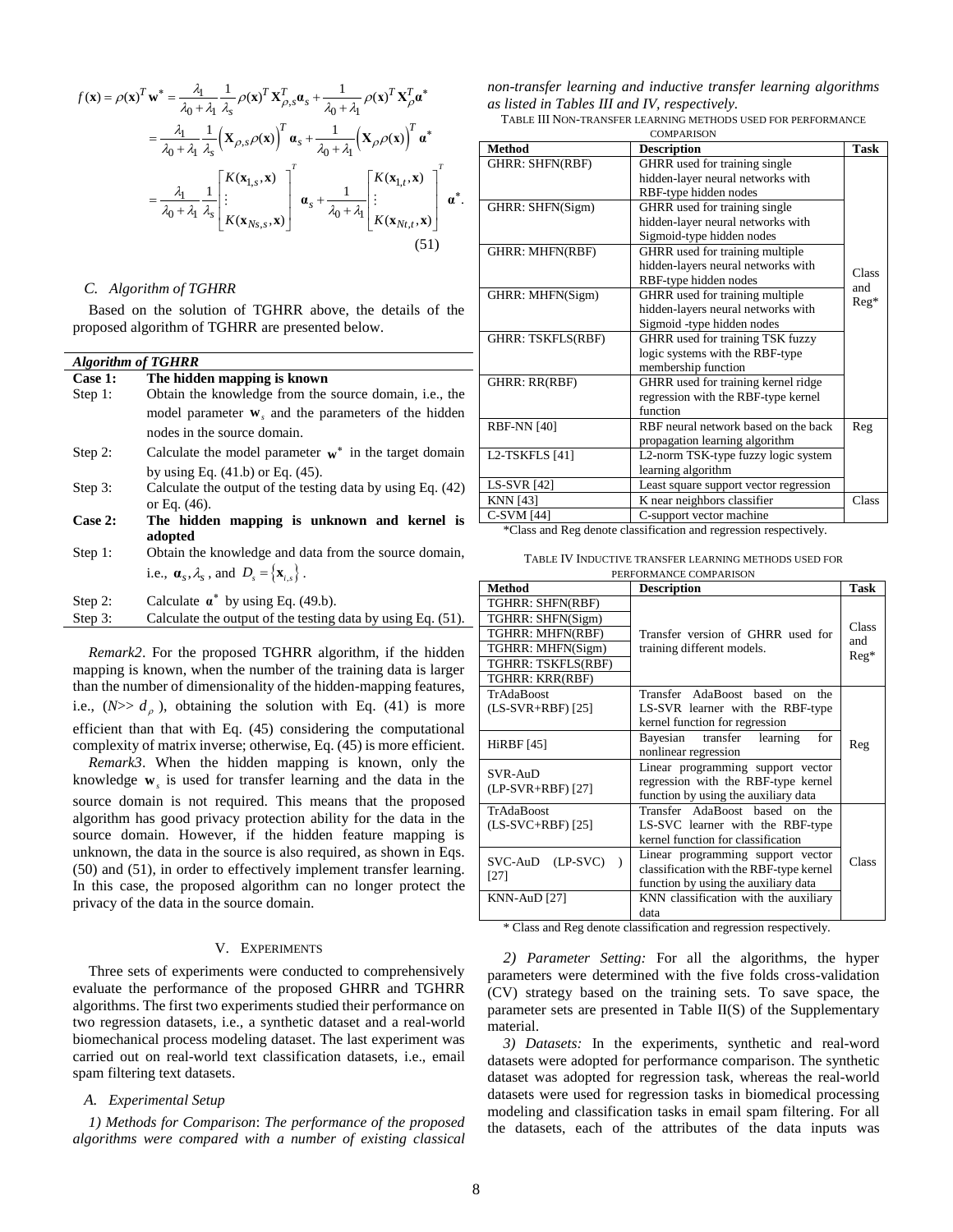$$
f(\mathbf{x}) = \rho(\mathbf{x})^T \mathbf{w}^* = \frac{\lambda_1}{\lambda_0 + \lambda_1} \frac{1}{\lambda_s} \rho(\mathbf{x})^T \mathbf{X}_{\rho,s}^T \mathbf{\alpha}_s + \frac{1}{\lambda_0 + \lambda_1} \rho(\mathbf{x})^T \mathbf{X}_{\rho}^T \mathbf{\alpha}^*
$$
  
\n
$$
= \frac{\lambda_1}{\lambda_0 + \lambda_1} \frac{1}{\lambda_s} \left( \mathbf{X}_{\rho,s} \rho(\mathbf{x}) \right)^T \mathbf{\alpha}_s + \frac{1}{\lambda_0 + \lambda_1} \left( \mathbf{X}_{\rho} \rho(\mathbf{x}) \right)^T \mathbf{\alpha}^*
$$
  
\n
$$
= \frac{\lambda_1}{\lambda_0 + \lambda_1} \frac{1}{\lambda_s} \left[ \begin{array}{c} K(\mathbf{x}_{1,s}, \mathbf{x}) \\ \vdots \\ K(\mathbf{x}_{Ns,s}, \mathbf{x}) \end{array} \right]^T \mathbf{\alpha}_s + \frac{1}{\lambda_0 + \lambda_1} \left[ \begin{array}{c} K(\mathbf{x}_{1,t}, \mathbf{x}) \\ \vdots \\ K(\mathbf{x}_{Nt,t}, \mathbf{x}) \end{array} \right]^T \mathbf{\alpha}^*.
$$
  
\n(51)

# *C. Algorithm of TGHRR*

Based on the solution of TGHRR above, the details of the proposed algorithm of TGHRR are presented below.

# *Algorithm of TGHRR*

| Case 1: | The hidden mapping is known                                        |
|---------|--------------------------------------------------------------------|
| Step 1: | Obtain the knowledge from the source domain, <i>i.e.</i> , the     |
|         | model parameter $\mathbf{w}_s$ and the parameters of the hidden    |
|         | nodes in the source domain.                                        |
| Step 2: | Calculate the model parameter $w^*$ in the target domain           |
|         | by using Eq. $(41.b)$ or Eq. $(45)$ .                              |
| Step 3: | Calculate the output of the testing data by using Eq. (42)         |
|         | or Eq. $(46)$ .                                                    |
| Case 2: | The hidden mapping is unknown and kernel is                        |
|         | adopted                                                            |
| Step 1: | Obtain the knowledge and data from the source domain,              |
|         | i.e., $\mathbf{a}_s, \lambda_s$ , and $D_s = {\mathbf{x}_{i,s}}$ . |
| Step 2: | Calculate $\alpha^*$ by using Eq. (49.b).                          |
| Step 3: | Calculate the output of the testing data by using Eq. (51).        |

*Remark2*. For the proposed TGHRR algorithm, if the hidden mapping is known, when the number of the training data is larger than the number of dimensionality of the hidden-mapping features, i.e.,  $(N>> d<sub>\rho</sub>)$ , obtaining the solution with Eq. (41) is more efficient than that with Eq. (45) considering the computational complexity of matrix inverse; otherwise, Eq. (45) is more efficient.

*Remark3*. When the hidden mapping is known, only the knowledge **w***s* is used for transfer learning and the data in the source domain is not required. This means that the proposed algorithm has good privacy protection ability for the data in the source domain. However, if the hidden feature mapping is unknown, the data in the source is also required, as shown in Eqs. (50) and (51), in order to effectively implement transfer learning. In this case, the proposed algorithm can no longer protect the privacy of the data in the source domain.

#### V. EXPERIMENTS

Three sets of experiments were conducted to comprehensively evaluate the performance of the proposed GHRR and TGHRR algorithms. The first two experiments studied their performance on two regression datasets, i.e., a synthetic dataset and a real-world biomechanical process modeling dataset. The last experiment was carried out on real-world text classification datasets, i.e., email spam filtering text datasets.

#### *A. Experimental Setup*

*1) Methods for Comparison*: *The performance of the proposed algorithms were compared with a number of existing classical*  *non-transfer learning and inductive transfer learning algorithms as listed in Tables III and IV, respectively.*

TABLE III NON-TRANSFER LEARNING METHODS USED FOR PERFORMANCE

| <b>Method</b>          | <b>Description</b>                                                 | <b>Task</b> |
|------------------------|--------------------------------------------------------------------|-------------|
| <b>GHRR: SHFN(RBF)</b> | GHRR used for training single<br>hidden-layer neural networks with |             |
|                        | RBF-type hidden nodes                                              |             |
| GHRR: SHFN(Sigm)       | GHRR used for training single                                      |             |
|                        | hidden-layer neural networks with                                  |             |
|                        | Sigmoid-type hidden nodes                                          |             |
| <b>GHRR: MHFN(RBF)</b> | GHRR used for training multiple                                    |             |
|                        | hidden-layers neural networks with                                 | Class       |
|                        | RBF-type hidden nodes                                              | and         |
| GHRR: MHFN(Sigm)       | GHRR used for training multiple                                    |             |
|                        | hidden-layers neural networks with                                 | $Reg*$      |
|                        | Sigmoid -type hidden nodes                                         |             |
| GHRR: TSKFLS(RBF)      | GHRR used for training TSK fuzzy                                   |             |
|                        | logic systems with the RBF-type                                    |             |
|                        | membership function                                                |             |
| GHRR: RR(RBF)          | GHRR used for training kernel ridge                                |             |
|                        | regression with the RBF-type kernel                                |             |
|                        | function                                                           |             |
| <b>RBF-NN</b> [40]     | RBF neural network based on the back                               | Reg         |
|                        | propagation learning algorithm                                     |             |
| L2-TSKFLS [41]         | L2-norm TSK-type fuzzy logic system                                |             |
|                        | learning algorithm                                                 |             |
| <b>LS-SVR</b> [42]     | Least square support vector regression                             |             |
| <b>KNN</b> [43]        | K near neighbors classifier                                        | Class       |
| C-SVM [44]             | C-support vector machine                                           |             |

\*Class and Reg denote classification and regression respectively.

TABLE IV INDUCTIVE TRANSFER LEARNING METHODS USED FOR PERFORMANCE COMPARISON

| <b>Method</b>       | <b>Description</b>                                                            | <b>Task</b> |
|---------------------|-------------------------------------------------------------------------------|-------------|
| TGHRR: SHFN(RBF)    |                                                                               |             |
| TGHRR: SHFN(Sigm)   |                                                                               | Class       |
| TGHRR: MHFN(RBF)    | Transfer version of GHRR used for                                             | and         |
| TGHRR: MHFN(Sigm)   | training different models.                                                    | $Reg*$      |
| TGHRR: TSKFLS(RBF)  |                                                                               |             |
| TGHRR: KRR(RBF)     |                                                                               |             |
| TrAdaBoost          | Transfer AdaBoost based on<br>the                                             |             |
| $(LS-SVR+RBF)$ [25] | LS-SVR learner with the RBF-type                                              |             |
|                     | kernel function for regression                                                |             |
| <b>HiRBF</b> [45]   | Bayesian transfer learning<br>for                                             | Reg         |
|                     | nonlinear regression                                                          |             |
| $SVR-AuD$           | Linear programming support vector                                             |             |
| $(LP-SVR+RBF)$ [27] | regression with the RBF-type kernel                                           |             |
|                     | function by using the auxiliary data                                          |             |
| TrAdaBoost          | Transfer AdaBoost based on the                                                |             |
| $(LS-SVC+RBF)$ [25] | LS-SVC learner with the RBF-type                                              |             |
|                     | kernel function for classification                                            |             |
| SVC-AuD (LP-SVC)    | Linear programming support vector                                             | Class       |
| $[27]$              | classification with the RBF-type kernel                                       |             |
|                     | function by using the auxiliary data<br>KNN classification with the auxiliary |             |
| KNN-AuD [27]        | data                                                                          |             |
|                     |                                                                               |             |

\* Class and Reg denote classification and regression respectively.

*2) Parameter Setting:* For all the algorithms, the hyper parameters were determined with the five folds cross-validation (CV) strategy based on the training sets. To save space, the parameter sets are presented in Table II(S) of the Supplementary material.

*3) Datasets:* In the experiments, synthetic and real-word datasets were adopted for performance comparison. The synthetic dataset was adopted for regression task, whereas the real-world datasets were used for regression tasks in biomedical processing modeling and classification tasks in email spam filtering. For all the datasets, each of the attributes of the data inputs was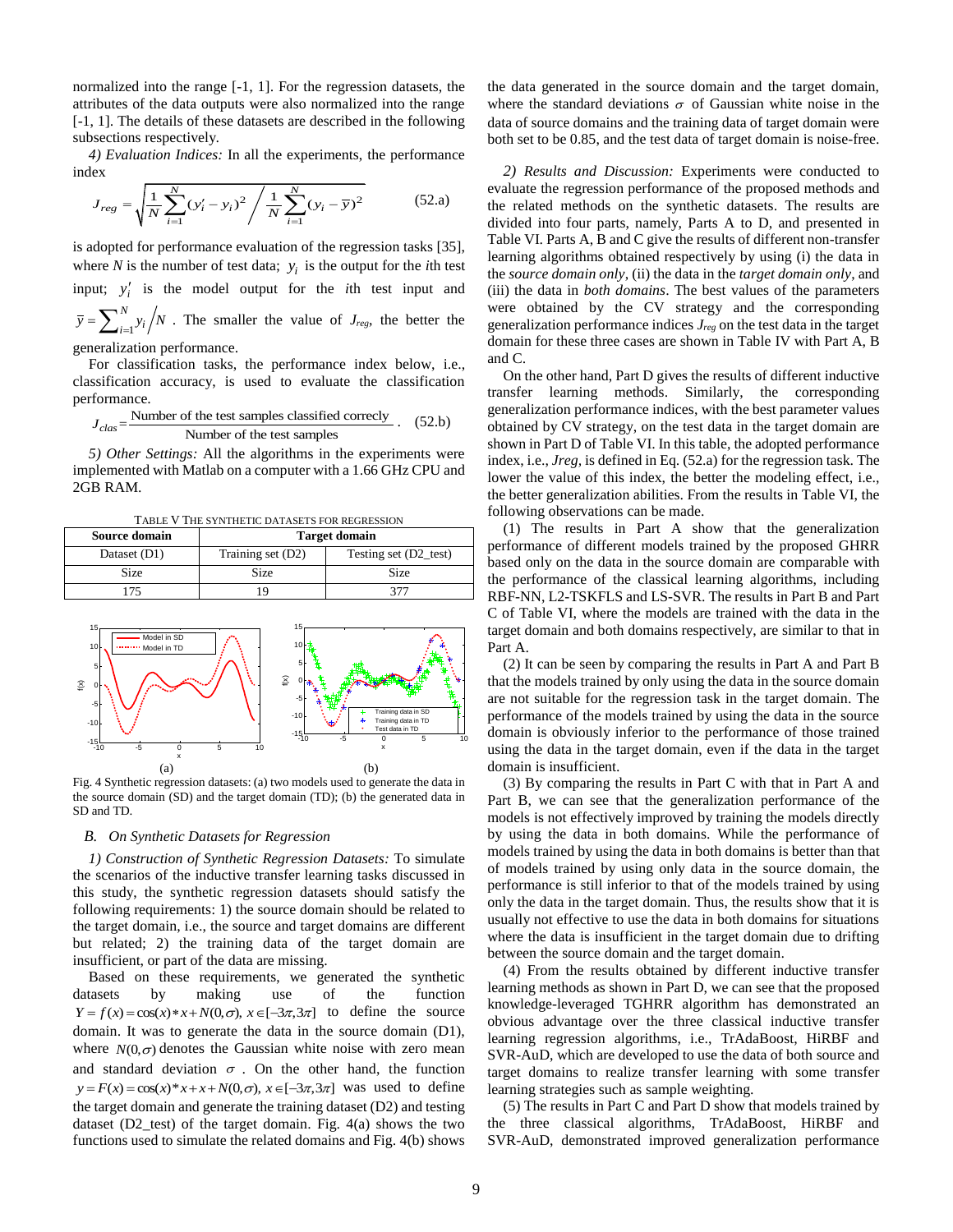normalized into the range [-1, 1]. For the regression datasets, the attributes of the data outputs were also normalized into the range [-1, 1]. The details of these datasets are described in the following subsections respectively.

index

4) *Evaluation Indices:* In all the experiments, the performance  
lex  

$$
J_{reg} = \sqrt{\frac{1}{N} \sum_{i=1}^{N} (y'_i - y_i)^2 / \frac{1}{N} \sum_{i=1}^{N} (y_i - \overline{y})^2}
$$
(52.a)

is adopted for performance evaluation of the regression tasks [35], where *N* is the number of test data;  $y_i$  is the output for the *i*th test input;  $y'_i$  is the model output for the *i*th test input and 1 *N*  $\overline{y} = \sum_{i=1}^{N} y_i / N$ . The smaller the value of *J<sub>reg</sub>*, the better the generalization performance.

For classification tasks, the performance index below, i.e., classification accuracy, is used to evaluate the classification performance.

$$
J_{clas} = \frac{\text{Number of the test samples classified correctly}}{\text{Number of the test samples}}.
$$
 (52.b)

*5) Other Settings:* All the algorithms in the experiments were implemented with Matlab on a computer with a 1.66 GHz CPU and 2GB RAM.

TABLE V THE SYNTHETIC DATASETS FOR REGRESSION

| <b>Source domain</b> | <b>Target domain</b> |                       |  |  |  |
|----------------------|----------------------|-----------------------|--|--|--|
| Dataset (D1)         | Training set (D2)    | Testing set (D2_test) |  |  |  |
| Size                 | <b>Size</b>          | Size                  |  |  |  |
| 75                   |                      |                       |  |  |  |



Fig. 4 Synthetic regression datasets: (a) two models used to generate the data in the source domain (SD) and the target domain (TD); (b) the generated data in SD and TD.

# *B. On Synthetic Datasets for Regression*

*1) Construction of Synthetic Regression Datasets:* To simulate the scenarios of the inductive transfer learning tasks discussed in this study, the synthetic regression datasets should satisfy the following requirements: 1) the source domain should be related to the target domain, i.e., the source and target domains are different but related; 2) the training data of the target domain are insufficient, or part of the data are missing.

Based on these requirements, we generated the synthetic datasets by making use of the function datasets by making use of the function  $Y = f(x) = \cos(x) * x + N(0, \sigma), x \in [-3\pi, 3\pi]$  to define the source domain. It was to generate the data in the source domain (D1), where  $N(0, \sigma)$  denotes the Gaussian white noise with zero mean and standard deviation  $\sigma$ . On the other hand, the function  $y = F(x) = \cos(x)^* x + x + N(0, \sigma)$ ,  $x \in [-3\pi, 3\pi]$  was used to define the target domain and generate the training dataset (D2) and testing dataset  $(D2_test)$  of the target domain. Fig.  $4(a)$  shows the two functions used to simulate the related domains and Fig. 4(b) shows

the data generated in the source domain and the target domain, where the standard deviations  $\sigma$  of Gaussian white noise in the data of source domains and the training data of target domain were both set to be 0.85, and the test data of target domain is noise-free.

*2) Results and Discussion:* Experiments were conducted to evaluate the regression performance of the proposed methods and the related methods on the synthetic datasets. The results are divided into four parts, namely, Parts A to D, and presented in Table VI. Parts A, B and C give the results of different non-transfer learning algorithms obtained respectively by using (i) the data in the *source domain only*, (ii) the data in the *target domain only*, and (iii) the data in *both domains*. The best values of the parameters were obtained by the CV strategy and the corresponding generalization performance indices *Jreg* on the test data in the target domain for these three cases are shown in Table IV with Part A, B and C.

On the other hand, Part D gives the results of different inductive transfer learning methods. Similarly, the corresponding generalization performance indices, with the best parameter values obtained by CV strategy, on the test data in the target domain are shown in Part D of Table VI. In this table, the adopted performance index, i.e., *Jreg,* is defined in Eq. (52.a) for the regression task. The lower the value of this index, the better the modeling effect, i.e., the better generalization abilities. From the results in Table VI, the following observations can be made.

(1) The results in Part A show that the generalization performance of different models trained by the proposed GHRR based only on the data in the source domain are comparable with the performance of the classical learning algorithms, including RBF-NN, L2-TSKFLS and LS-SVR. The results in Part B and Part C of Table VI, where the models are trained with the data in the target domain and both domains respectively, are similar to that in Part A.

(2) It can be seen by comparing the results in Part A and Part B that the models trained by only using the data in the source domain are not suitable for the regression task in the target domain. The performance of the models trained by using the data in the source domain is obviously inferior to the performance of those trained using the data in the target domain, even if the data in the target domain is insufficient.

(3) By comparing the results in Part C with that in Part A and Part B, we can see that the generalization performance of the models is not effectively improved by training the models directly by using the data in both domains. While the performance of models trained by using the data in both domains is better than that of models trained by using only data in the source domain, the performance is still inferior to that of the models trained by using only the data in the target domain. Thus, the results show that it is usually not effective to use the data in both domains for situations where the data is insufficient in the target domain due to drifting between the source domain and the target domain.

(4) From the results obtained by different inductive transfer learning methods as shown in Part D, we can see that the proposed knowledge-leveraged TGHRR algorithm has demonstrated an obvious advantage over the three classical inductive transfer learning regression algorithms, i.e., TrAdaBoost, HiRBF and SVR-AuD, which are developed to use the data of both source and target domains to realize transfer learning with some transfer learning strategies such as sample weighting.

(5) The results in Part C and Part D show that models trained by the three classical algorithms, TrAdaBoost, HiRBF and SVR-AuD, demonstrated improved generalization performance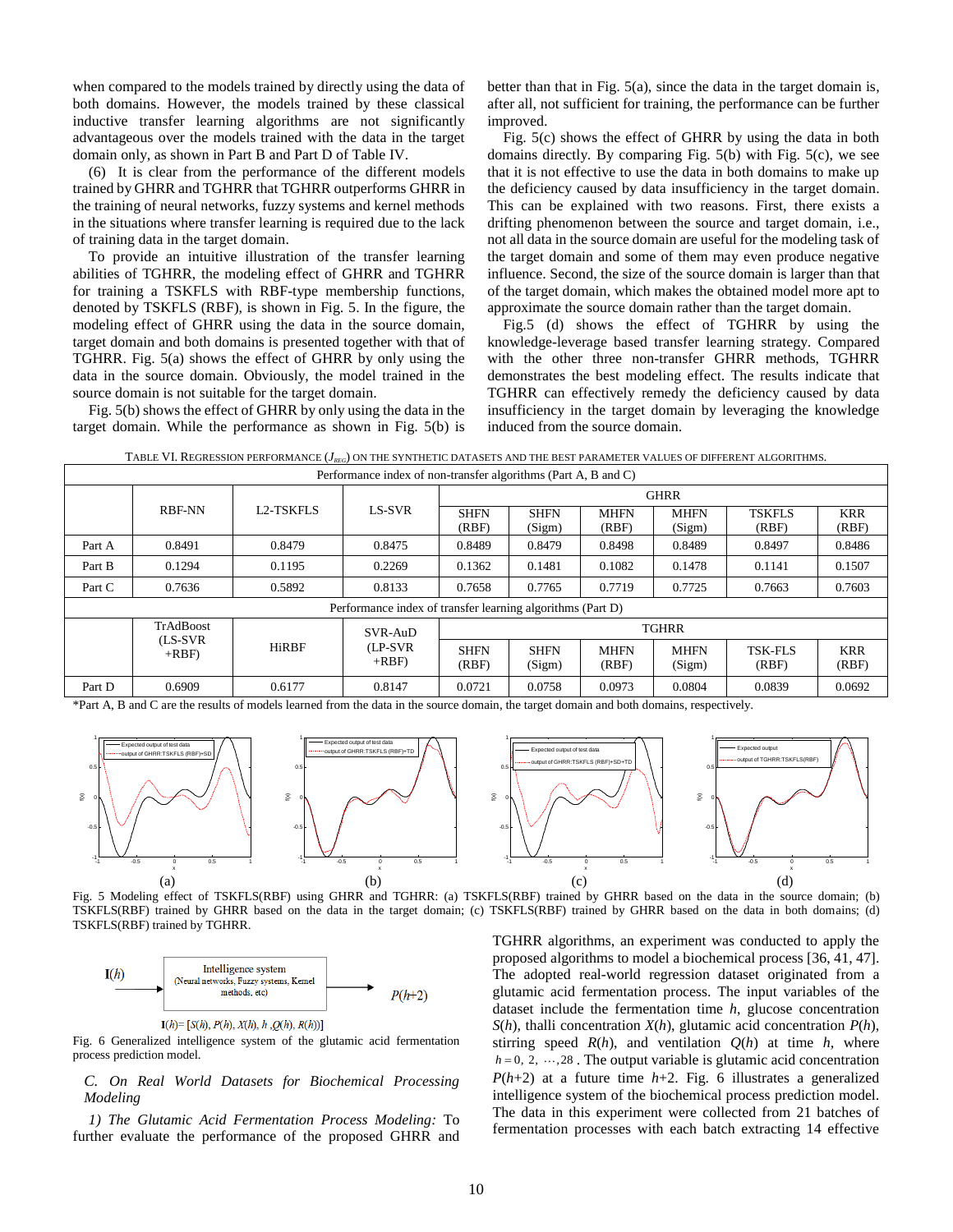when compared to the models trained by directly using the data of both domains. However, the models trained by these classical inductive transfer learning algorithms are not significantly advantageous over the models trained with the data in the target domain only, as shown in Part B and Part D of Table IV.

(6) It is clear from the performance of the different models trained by GHRR and TGHRR that TGHRR outperforms GHRR in the training of neural networks, fuzzy systems and kernel methods in the situations where transfer learning is required due to the lack of training data in the target domain.

To provide an intuitive illustration of the transfer learning abilities of TGHRR, the modeling effect of GHRR and TGHRR for training a TSKFLS with RBF-type membership functions, denoted by TSKFLS (RBF), is shown in Fig. 5. In the figure, the modeling effect of GHRR using the data in the source domain, target domain and both domains is presented together with that of TGHRR. Fig. 5(a) shows the effect of GHRR by only using the data in the source domain. Obviously, the model trained in the source domain is not suitable for the target domain.

Fig. 5(b) shows the effect of GHRR by only using the data in the target domain. While the performance as shown in Fig. 5(b) is

better than that in Fig. 5(a), since the data in the target domain is, after all, not sufficient for training, the performance can be further improved.

Fig. 5(c) shows the effect of GHRR by using the data in both domains directly. By comparing Fig. 5(b) with Fig. 5(c), we see that it is not effective to use the data in both domains to make up the deficiency caused by data insufficiency in the target domain. This can be explained with two reasons. First, there exists a drifting phenomenon between the source and target domain, i.e., not all data in the source domain are useful for the modeling task of the target domain and some of them may even produce negative influence. Second, the size of the source domain is larger than that of the target domain, which makes the obtained model more apt to approximate the source domain rather than the target domain.

Fig.5 (d) shows the effect of TGHRR by using the knowledge-leverage based transfer learning strategy. Compared with the other three non-transfer GHRR methods, TGHRR demonstrates the best modeling effect. The results indicate that TGHRR can effectively remedy the deficiency caused by data insufficiency in the target domain by leveraging the knowledge induced from the source domain.

TABLE VI. REGRESSION PERFORMANCE (*J<sub>REG</sub>*) ON THE SYNTHETIC DATASETS AND THE BEST PARAMETER VALUES OF DIFFERENT ALGORITHMS.

| Performance index of non-transfer algorithms (Part A, B and C) |                    |              |                                                            |                       |                       |                       |                        |                         |                     |
|----------------------------------------------------------------|--------------------|--------------|------------------------------------------------------------|-----------------------|-----------------------|-----------------------|------------------------|-------------------------|---------------------|
|                                                                |                    |              |                                                            | <b>GHRR</b>           |                       |                       |                        |                         |                     |
| <b>RBF-NN</b>                                                  | <b>L2-TSKFLS</b>   | LS-SVR       | <b>SHFN</b><br>(RBF)                                       | <b>SHFN</b><br>(Sigm) | <b>MHFN</b><br>(RBF)  | <b>MHFN</b><br>(Sigm) | <b>TSKFLS</b><br>(RBF) | <b>KRR</b><br>(RBF)     |                     |
| Part A                                                         | 0.8491             | 0.8479       | 0.8475                                                     | 0.8489                | 0.8479                | 0.8498                | 0.8489                 | 0.8497                  | 0.8486              |
| Part B                                                         | 0.1294             | 0.1195       | 0.2269                                                     | 0.1362                | 0.1481                | 0.1082                | 0.1478                 | 0.1141                  | 0.1507              |
| Part C                                                         | 0.7636             | 0.5892       | 0.8133                                                     | 0.7658                | 0.7765                | 0.7719                | 0.7725                 | 0.7663                  | 0.7603              |
|                                                                |                    |              | Performance index of transfer learning algorithms (Part D) |                       |                       |                       |                        |                         |                     |
| TrAdBoost<br>SVR-AuD                                           |                    |              |                                                            |                       | <b>TGHRR</b>          |                       |                        |                         |                     |
|                                                                | (LS-SVR)<br>$+RBF$ | <b>HiRBF</b> | (LP-SVR)<br>$+RBF$                                         | <b>SHFN</b><br>(RBF)  | <b>SHFN</b><br>(Sigm) | <b>MHFN</b><br>(RBF)  | <b>MHFN</b><br>(Sigm)  | <b>TSK-FLS</b><br>(RBF) | <b>KRR</b><br>(RBF) |
| Part D                                                         | 0.6909             | 0.6177       | 0.8147                                                     | 0.0721                | 0.0758                | 0.0973                | 0.0804                 | 0.0839                  | 0.0692              |

\*Part A, B and C are the results of models learned from the data in the source domain, the target domain and both domains, respectively.



Fig. 5 Modeling effect of TSKFLS(RBF) using GHRR and TGHRR: (a) TSKFLS(RBF) trained by GHRR based on the data in the source domain; (b) TSKFLS(RBF) trained by GHRR based on the data in the target domain; (c) TSKFLS(RBF) trained by GHRR based on the data in both domains; (d) TSKFLS(RBF) trained by TGHRR.



Fig. 6 Generalized intelligence system of the glutamic acid fermentation process prediction model.

## *C. On Real World Datasets for Biochemical Processing Modeling*

*1) The Glutamic Acid Fermentation Process Modeling:* To further evaluate the performance of the proposed GHRR and TGHRR algorithms, an experiment was conducted to apply the proposed algorithms to model a biochemical process [36, 41, 47]. The adopted real-world regression dataset originated from a glutamic acid fermentation process. The input variables of the dataset include the fermentation time *h*, glucose concentration *S*(*h*), thalli concentration *X*(*h*), glutamic acid concentration *P*(*h*), stirring speed  $R(h)$ , and ventilation  $Q(h)$  at time  $h$ , where  $h = 0, 2, \dots, 28$ . The output variable is glutamic acid concentration  $P(h+2)$  at a future time  $h+2$ . Fig. 6 illustrates a generalized intelligence system of the biochemical process prediction model. The data in this experiment were collected from 21 batches of fermentation processes with each batch extracting 14 effective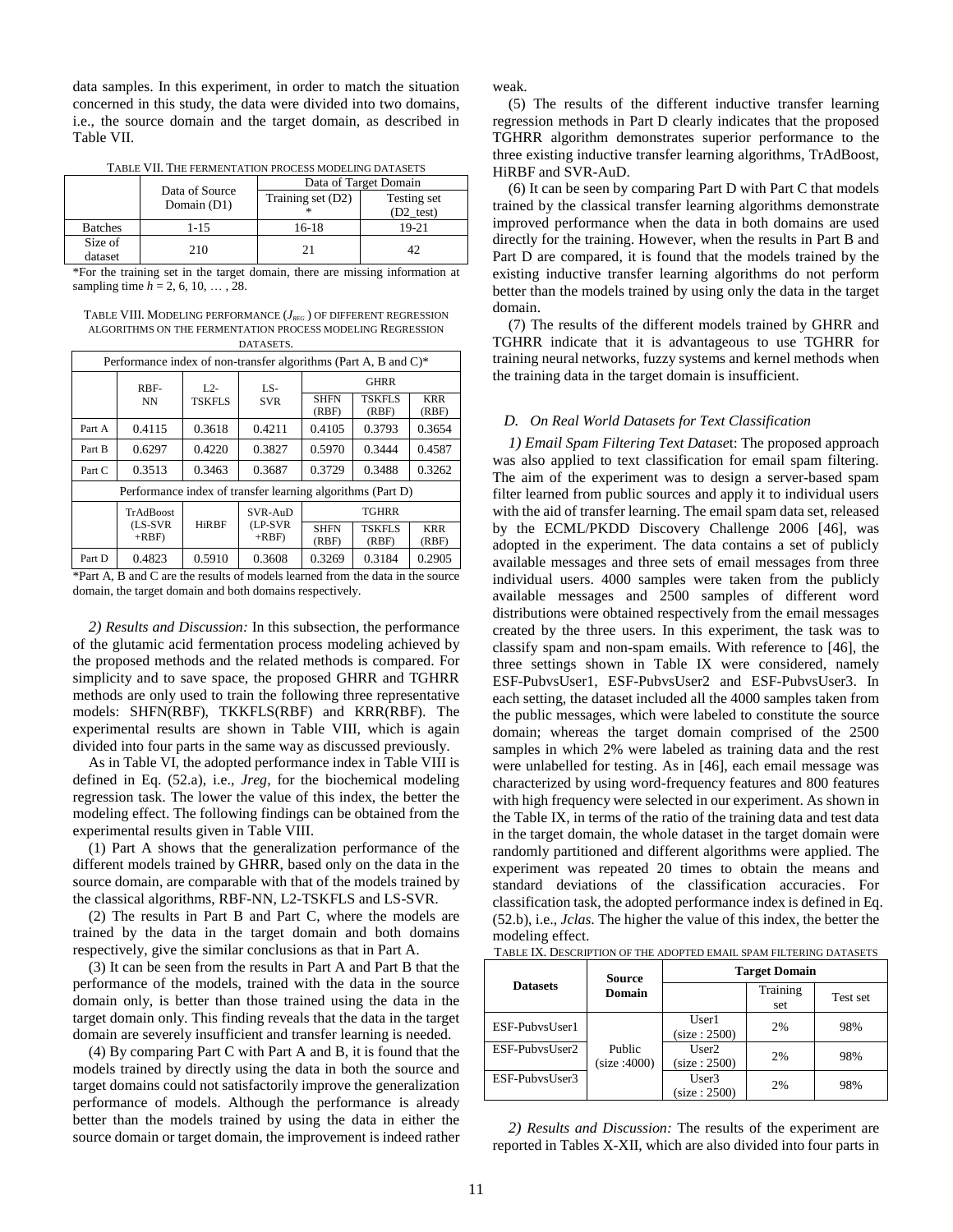data samples. In this experiment, in order to match the situation concerned in this study, the data were divided into two domains, i.e., the source domain and the target domain, as described in Table VII.

TABLE VII. THE FERMENTATION PROCESS MODELING DATASETS

|                    | Data of Source | Data of Target Domain |             |  |  |
|--------------------|----------------|-----------------------|-------------|--|--|
|                    | Domain (D1)    | Training set (D2)     | Testing set |  |  |
|                    |                |                       | (D2 test)   |  |  |
| <b>Batches</b>     | 1-15           | 16-18                 | 19-21       |  |  |
| Size of<br>dataset | 210            |                       | 42          |  |  |

\*For the training set in the target domain, there are missing information at sampling time *h* = 2, 6, 10, … , 28.

TABLE VIII. MODELING PERFORMANCE (*JREG* ) OF DIFFERENT REGRESSION ALGORITHMS ON THE FERMENTATION PROCESS MODELING REGRESSION **DATASETS** 

| Performance index of non-transfer algorithms (Part A, B and C)* |                                                            |               |                      |                      |                        |                     |  |
|-----------------------------------------------------------------|------------------------------------------------------------|---------------|----------------------|----------------------|------------------------|---------------------|--|
|                                                                 | RBF-                                                       | $L2-$         | $LS-$                | <b>GHRR</b>          |                        |                     |  |
|                                                                 | NN                                                         | <b>TSKFLS</b> | <b>SVR</b>           | <b>SHFN</b><br>(RBF) | <b>TSKFLS</b><br>(RBF) | <b>KRR</b><br>(RBF) |  |
| Part A                                                          | 0.4115                                                     | 0.3618        | 0.4211               | 0.4105               | 0.3793                 | 0.3654              |  |
| Part B                                                          | 0.6297                                                     | 0.4220        | 0.3827               | 0.5970               | 0.3444                 | 0.4587              |  |
| Part C                                                          | 0.3513                                                     | 0.3463        | 0.3687               | 0.3729               | 0.3488                 | 0.3262              |  |
|                                                                 | Performance index of transfer learning algorithms (Part D) |               |                      |                      |                        |                     |  |
|                                                                 | SVR-AuD<br>TrAdBoost<br><b>TGHRR</b>                       |               |                      |                      |                        |                     |  |
|                                                                 | (LS-SVR)<br>$+RBF$                                         | <b>HiRBF</b>  | $(LP-SVR)$<br>$+RBF$ | <b>SHFN</b><br>(RBF) | <b>TSKFLS</b><br>(RBF) | <b>KRR</b><br>(RBF) |  |
| Part D                                                          | 0.4823                                                     | 0.5910        | 0.3608               | 0.3269               | 0.3184                 | 0.2905              |  |

<sup>\*</sup>Part A, B and C are the results of models learned from the data in the source domain, the target domain and both domains respectively.

*2) Results and Discussion:* In this subsection, the performance of the glutamic acid fermentation process modeling achieved by the proposed methods and the related methods is compared. For simplicity and to save space, the proposed GHRR and TGHRR methods are only used to train the following three representative models: SHFN(RBF), TKKFLS(RBF) and KRR(RBF). The experimental results are shown in Table VIII, which is again divided into four parts in the same way as discussed previously.

As in Table VI, the adopted performance index in Table VIII is defined in Eq. (52.a), i.e., *Jreg*, for the biochemical modeling regression task. The lower the value of this index, the better the modeling effect. The following findings can be obtained from the experimental results given in Table VIII.

(1) Part A shows that the generalization performance of the different models trained by GHRR, based only on the data in the source domain, are comparable with that of the models trained by the classical algorithms, RBF-NN, L2-TSKFLS and LS-SVR.

(2) The results in Part B and Part C, where the models are trained by the data in the target domain and both domains respectively, give the similar conclusions as that in Part A.

(3) It can be seen from the results in Part A and Part B that the performance of the models, trained with the data in the source domain only, is better than those trained using the data in the target domain only. This finding reveals that the data in the target domain are severely insufficient and transfer learning is needed.

(4) By comparing Part C with Part A and B, it is found that the models trained by directly using the data in both the source and target domains could not satisfactorily improve the generalization performance of models. Although the performance is already better than the models trained by using the data in either the source domain or target domain, the improvement is indeed rather weak.

(5) The results of the different inductive transfer learning regression methods in Part D clearly indicates that the proposed TGHRR algorithm demonstrates superior performance to the three existing inductive transfer learning algorithms, TrAdBoost, HiRBF and SVR-AuD.

(6) It can be seen by comparing Part D with Part C that models trained by the classical transfer learning algorithms demonstrate improved performance when the data in both domains are used directly for the training. However, when the results in Part B and Part D are compared, it is found that the models trained by the existing inductive transfer learning algorithms do not perform better than the models trained by using only the data in the target domain.

(7) The results of the different models trained by GHRR and TGHRR indicate that it is advantageous to use TGHRR for training neural networks, fuzzy systems and kernel methods when the training data in the target domain is insufficient.

#### *D. On Real World Datasets for Text Classification*

*1) Email Spam Filtering Text Datase*t: The proposed approach was also applied to text classification for email spam filtering. The aim of the experiment was to design a server-based spam filter learned from public sources and apply it to individual users with the aid of transfer learning. The email spam data set, released by the ECML/PKDD Discovery Challenge 2006 [46], was adopted in the experiment. The data contains a set of publicly available messages and three sets of email messages from three individual users. 4000 samples were taken from the publicly available messages and 2500 samples of different word distributions were obtained respectively from the email messages created by the three users. In this experiment, the task was to classify spam and non-spam emails. With reference to [46], the three settings shown in Table IX were considered, namely ESF-PubvsUser1, ESF-PubvsUser2 and ESF-PubvsUser3. In each setting, the dataset included all the 4000 samples taken from the public messages, which were labeled to constitute the source domain; whereas the target domain comprised of the 2500 samples in which 2% were labeled as training data and the rest were unlabelled for testing. As in [46], each email message was characterized by using word-frequency features and 800 features with high frequency were selected in our experiment. As shown in the Table IX, in terms of the ratio of the training data and test data in the target domain, the whole dataset in the target domain were randomly partitioned and different algorithms were applied. The experiment was repeated 20 times to obtain the means and standard deviations of the classification accuracies. For classification task, the adopted performance index is defined in Eq. (52.b), i.e., *Jclas*. The higher the value of this index, the better the modeling effect.

|                 | Source                | <b>Target Domain</b>  |                 |          |  |
|-----------------|-----------------------|-----------------------|-----------------|----------|--|
| <b>Datasets</b> | Domain                |                       | Training<br>set | Test set |  |
| ESF-PubysUser1  |                       | User1<br>(size: 2500) | 2%              | 98%      |  |
| ESF-PubysUser2  | Public<br>(size:4000) | User2<br>(size: 2500) | 2%              | 98%      |  |
| ESF-PubysUser3  |                       | User3<br>(size: 2500) | 2%              | 98%      |  |

TABLE IX. DESCRIPTION OF THE ADOPTED EMAIL SPAM FILTERING DATASETS

*2) Results and Discussion:* The results of the experiment are reported in Tables X-XII, which are also divided into four parts in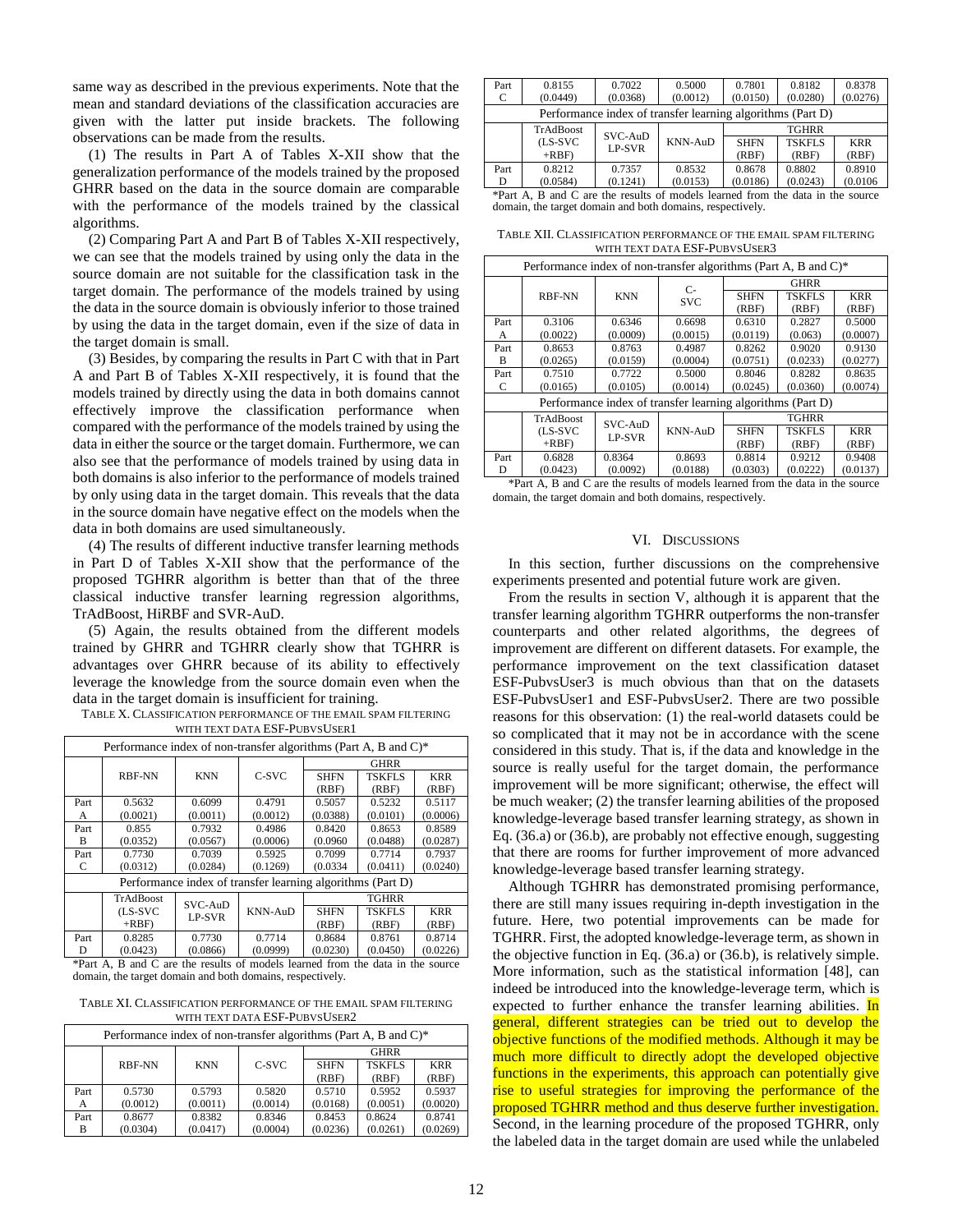same way as described in the previous experiments. Note that the mean and standard deviations of the classification accuracies are given with the latter put inside brackets. The following observations can be made from the results.

(1) The results in Part A of Tables X-XII show that the generalization performance of the models trained by the proposed GHRR based on the data in the source domain are comparable with the performance of the models trained by the classical algorithms.

(2) Comparing Part A and Part B of Tables X-XII respectively, we can see that the models trained by using only the data in the source domain are not suitable for the classification task in the target domain. The performance of the models trained by using the data in the source domain is obviously inferior to those trained by using the data in the target domain, even if the size of data in the target domain is small.

(3) Besides, by comparing the results in Part C with that in Part A and Part B of Tables X-XII respectively, it is found that the models trained by directly using the data in both domains cannot effectively improve the classification performance when compared with the performance of the models trained by using the data in either the source or the target domain. Furthermore, we can also see that the performance of models trained by using data in both domains is also inferior to the performance of models trained by only using data in the target domain. This reveals that the data in the source domain have negative effect on the models when the data in both domains are used simultaneously.

(4) The results of different inductive transfer learning methods in Part D of Tables X-XII show that the performance of the proposed TGHRR algorithm is better than that of the three classical inductive transfer learning regression algorithms, TrAdBoost, HiRBF and SVR-AuD.

(5) Again, the results obtained from the different models trained by GHRR and TGHRR clearly show that TGHRR is advantages over GHRR because of its ability to effectively leverage the knowledge from the source domain even when the data in the target domain is insufficient for training.

| TABLE X. CLASSIFICATION PERFORMANCE OF THE EMAIL SPAM FILTERING |  |
|-----------------------------------------------------------------|--|
| WITH TEXT DATA ESF-PUBVSUSER1                                   |  |

| Performance index of non-transfer algorithms (Part A, B and C)* |            |            |                |              |               |            |  |
|-----------------------------------------------------------------|------------|------------|----------------|--------------|---------------|------------|--|
|                                                                 |            |            |                | <b>GHRR</b>  |               |            |  |
|                                                                 | RBF-NN     | <b>KNN</b> | C-SVC          | <b>SHFN</b>  | <b>TSKFLS</b> | <b>KRR</b> |  |
|                                                                 |            |            |                | (RBF)        | (RBF)         | (RBF)      |  |
| Part                                                            | 0.5632     | 0.6099     | 0.4791         | 0.5057       | 0.5232        | 0.5117     |  |
| А                                                               | (0.0021)   | (0.0011)   | (0.0012)       | (0.0388)     | (0.0101)      | (0.0006)   |  |
| Part                                                            | 0.855      | 0.7932     | 0.4986         | 0.8420       | 0.8653        | 0.8589     |  |
| в                                                               | (0.0352)   | (0.0567)   | (0.0006)       | (0.0960)     | (0.0488)      | (0.0287)   |  |
| Part                                                            | 0.7730     | 0.7039     | 0.5925         | 0.7099       | 0.7714        | 0.7937     |  |
| C                                                               | (0.0312)   | (0.0284)   | (0.1269)       | (0.0334)     | (0.0411)      | (0.0240)   |  |
| Performance index of transfer learning algorithms (Part D)      |            |            |                |              |               |            |  |
|                                                                 | TrAdBoost  | SVC-AuD    |                | <b>TGHRR</b> |               |            |  |
|                                                                 | $(LS-SVC)$ | LP-SVR     | <b>KNN-AuD</b> | <b>SHFN</b>  | <b>TSKFLS</b> | <b>KRR</b> |  |
|                                                                 | $+RBF$     |            |                | (RBF)        | (RBF)         | (RBF)      |  |
| Part                                                            | 0.8285     | 0.7730     | 0.7714         | 0.8684       | 0.8761        | 0.8714     |  |
| D                                                               | (0.0423)   | (0.0866)   | (0.0999)       | (0.0230)     | (0.0450)      | (0.0226)   |  |

\*Part A, B and C are the results of models learned from the data in the source domain, the target domain and both domains, respectively.

TABLE XI. CLASSIFICATION PERFORMANCE OF THE EMAIL SPAM FILTERING WITH TEXT DATA ESF-PUBVSUSER2

| Performance index of non-transfer algorithms (Part A, B and C)* |          |            |          |             |               |            |
|-----------------------------------------------------------------|----------|------------|----------|-------------|---------------|------------|
|                                                                 |          |            |          | <b>GHRR</b> |               |            |
|                                                                 | RBF-NN   | <b>KNN</b> | C-SVC    | <b>SHFN</b> | <b>TSKFLS</b> | <b>KRR</b> |
|                                                                 |          |            |          | (RBF)       | (RBF)         | (RBF)      |
| Part                                                            | 0.5730   | 0.5793     | 0.5820   | 0.5710      | 0.5952        | 0.5937     |
| А                                                               | (0.0012) | (0.0011)   | (0.0014) | (0.0168)    | (0.0051)      | (0.0020)   |
| Part                                                            | 0.8677   | 0.8382     | 0.8346   | 0.8453      | 0.8624        | 0.8741     |
| в                                                               | (0.0304) | (0.0417)   | (0.0004) | (0.0236)    | (0.0261)      | (0.0269)   |

| Part<br>С                                                  | 0.8155<br>(0.0449)            | 0.7022<br>(0.0368) | 0.5000<br>(0.0012) | 0.7801<br>(0.0150) | 0.8182<br>(0.0280) | 0.8378<br>(0.0276) |  |
|------------------------------------------------------------|-------------------------------|--------------------|--------------------|--------------------|--------------------|--------------------|--|
| Performance index of transfer learning algorithms (Part D) |                               |                    |                    |                    |                    |                    |  |
|                                                            | <b>TrAdBoost</b><br>$SVC-AuD$ |                    | <b>TGHRR</b>       |                    |                    |                    |  |
|                                                            | (LS-SVC)                      | LP-SVR             | $KNN-AuD$          | <b>SHFN</b>        | <b>TSKFLS</b>      | <b>KRR</b>         |  |
|                                                            | $+RBF$                        |                    |                    | (RBF)              | (RBF)              | (RBF)              |  |
| Part                                                       | 0.8212                        | 0.7357             | 0.8532             | 0.8678             | 0.8802             | 0.8910             |  |
| D                                                          | (0.0584)                      | (0.1241)           | (0.0153)           | (0.0186)           | (0.0243)           | (0.0106)           |  |

\*Part A, B and C are the results of models learned from the data in the source domain, the target domain and both domains, respectively.

TABLE XII. CLASSIFICATION PERFORMANCE OF THE EMAIL SPAM FILTERING WITH TEXT DATA ESF-PUBVSUSER3

| Performance index of non-transfer algorithms (Part A, B and C)* |                  |            |                |              |               |            |  |
|-----------------------------------------------------------------|------------------|------------|----------------|--------------|---------------|------------|--|
|                                                                 |                  |            | $C-$           | <b>GHRR</b>  |               |            |  |
|                                                                 | RBF-NN           | <b>KNN</b> | <b>SVC</b>     | <b>SHFN</b>  | <b>TSKFLS</b> | <b>KRR</b> |  |
|                                                                 |                  |            |                | (RBF)        | (RBF)         | (RBF)      |  |
| Part                                                            | 0.3106           | 0.6346     | 0.6698         | 0.6310       | 0.2827        | 0.5000     |  |
| А                                                               | (0.0022)         | (0.0009)   | (0.0015)       | (0.0119)     | (0.063)       | (0.0007)   |  |
| Part                                                            | 0.8653           | 0.8763     | 0.4987         | 0.8262       | 0.9020        | 0.9130     |  |
| B                                                               | (0.0265)         | (0.0159)   | (0.0004)       | (0.0751)     | (0.0233)      | (0.0277)   |  |
| Part                                                            | 0.7510           | 0.7722     | 0.5000         | 0.8046       | 0.8282        | 0.8635     |  |
| C                                                               | (0.0165)         | (0.0105)   | (0.0014)       | (0.0245)     | (0.0360)      | (0.0074)   |  |
| Performance index of transfer learning algorithms (Part D)      |                  |            |                |              |               |            |  |
|                                                                 | <b>TrAdBoost</b> | SVC-AuD    |                | <b>TGHRR</b> |               |            |  |
|                                                                 | (LS-SVC          | LP-SVR     | <b>KNN-AuD</b> | <b>SHFN</b>  | <b>TSKFLS</b> | <b>KRR</b> |  |
|                                                                 | $+RBF$           |            |                | (RBF)        | (RBF)         | (RBF)      |  |
| Part                                                            | 0.6828           | 0.8364     | 0.8693         | 0.8814       | 0.9212        | 0.9408     |  |
| D                                                               | (0.0423)         | (0.0092)   | (0.0188)       | (0.0303)     | (0.0222)      | (0.0137)   |  |

<sup>\*</sup>Part A, B and C are the results of models learned from the data in the source domain, the target domain and both domains, respectively.

# VI. DISCUSSIONS

In this section, further discussions on the comprehensive experiments presented and potential future work are given.

From the results in section V, although it is apparent that the transfer learning algorithm TGHRR outperforms the non-transfer counterparts and other related algorithms, the degrees of improvement are different on different datasets. For example, the performance improvement on the text classification dataset ESF-PubvsUser3 is much obvious than that on the datasets ESF-PubvsUser1 and ESF-PubvsUser2. There are two possible reasons for this observation: (1) the real-world datasets could be so complicated that it may not be in accordance with the scene considered in this study. That is, if the data and knowledge in the source is really useful for the target domain, the performance improvement will be more significant; otherwise, the effect will be much weaker; (2) the transfer learning abilities of the proposed knowledge-leverage based transfer learning strategy, as shown in Eq. (36.a) or (36.b), are probably not effective enough, suggesting that there are rooms for further improvement of more advanced knowledge-leverage based transfer learning strategy.

Although TGHRR has demonstrated promising performance, there are still many issues requiring in-depth investigation in the future. Here, two potential improvements can be made for TGHRR. First, the adopted knowledge-leverage term, as shown in the objective function in Eq. (36.a) or (36.b), is relatively simple. More information, such as the statistical information [48], can indeed be introduced into the knowledge-leverage term, which is expected to further enhance the transfer learning abilities. In general, different strategies can be tried out to develop the objective functions of the modified methods. Although it may be much more difficult to directly adopt the developed objective functions in the experiments, this approach can potentially give rise to useful strategies for improving the performance of the proposed TGHRR method and thus deserve further investigation. Second, in the learning procedure of the proposed TGHRR, only the labeled data in the target domain are used while the unlabeled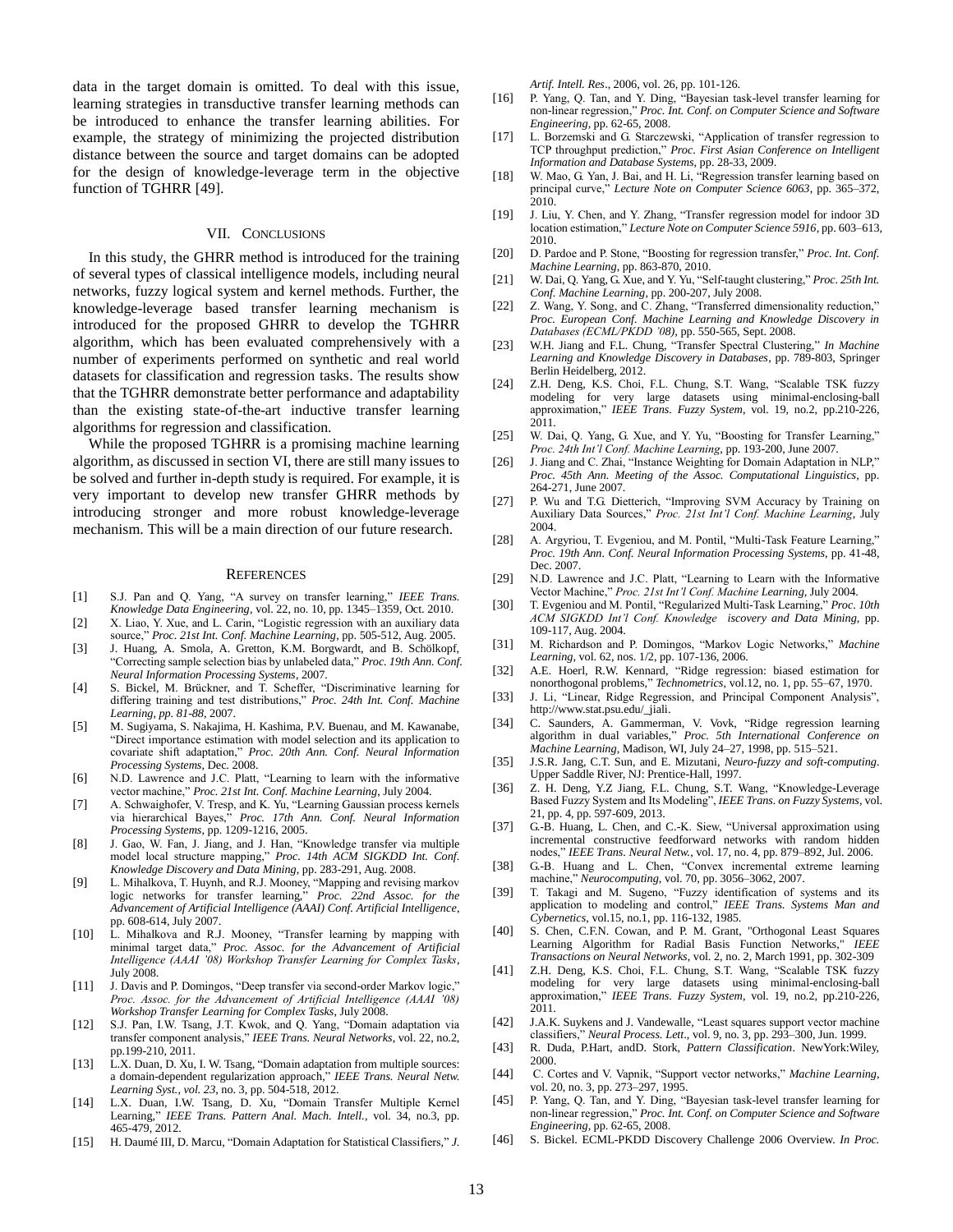data in the target domain is omitted. To deal with this issue, learning strategies in transductive transfer learning methods can be introduced to enhance the transfer learning abilities. For example, the strategy of minimizing the projected distribution distance between the source and target domains can be adopted for the design of knowledge-leverage term in the objective function of TGHRR [49].

#### VII. CONCLUSIONS

In this study, the GHRR method is introduced for the training of several types of classical intelligence models, including neural networks, fuzzy logical system and kernel methods. Further, the knowledge-leverage based transfer learning mechanism is introduced for the proposed GHRR to develop the TGHRR algorithm, which has been evaluated comprehensively with a number of experiments performed on synthetic and real world datasets for classification and regression tasks. The results show that the TGHRR demonstrate better performance and adaptability than the existing state-of-the-art inductive transfer learning algorithms for regression and classification.

While the proposed TGHRR is a promising machine learning algorithm, as discussed in section VI, there are still many issues to be solved and further in-depth study is required. For example, it is very important to develop new transfer GHRR methods by introducing stronger and more robust knowledge-leverage mechanism. This will be a main direction of our future research.

#### **REFERENCES**

- [1] S.J. Pan and Q. Yang, "A survey on transfer learning," *IEEE Trans. Knowledge Data Engineering,* vol. 22, no. 10, pp. 1345–1359, Oct. 2010.
- [2] X. Liao, Y. Xue, and L. Carin, "Logistic regression with an auxiliary data source," *Proc. 21st Int. Conf. Machine Learning*, pp. 505-512, Aug. 2005.
- [3] J. Huang, A. Smola, A. Gretton, K.M. Borgwardt, and B. Schölkopf, "Correcting sample selection bias by unlabeled data," *Proc. 19th Ann. Conf. Neural Information Processing Systems*, 2007.
- [4] S. Bickel, M. Brückner, and T. Scheffer, "Discriminative learning for differing training and test distributions," *Proc. 24th Int. Conf. Machine Learning, pp. 81-88*, 2007.
- [5] M. Sugiyama, S. Nakajima, H. Kashima, P.V. Buenau, and M. Kawanabe, "Direct importance estimation with model selection and its application to covariate shift adaptation," *Proc. 20th Ann. Conf. Neural Information Processing Systems*, Dec. 2008.
- [6] N.D. Lawrence and J.C. Platt, "Learning to learn with the informative vector machine," *Proc. 21st Int. Conf. Machine Learning*, July 2004.
- [7] A. Schwaighofer, V. Tresp, and K. Yu, "Learning Gaussian process kernels via hierarchical Bayes," *Proc. 17th Ann. Conf. Neural Information Processing Systems*, pp. 1209-1216, 2005.
- [8] J. Gao, W. Fan, J. Jiang, and J. Han, "Knowledge transfer via multiple model local structure mapping," *Proc. 14th ACM SIGKDD Int. Conf. Knowledge Discovery and Data Mining*, pp. 283-291, Aug. 2008.
- [9] L. Mihalkova, T. Huynh, and R.J. Mooney, "Mapping and revising markov logic networks for transfer learning," *Proc. 22nd Assoc. for the Advancement of Artificial Intelligence (AAAI) Conf. Artificial Intelligence*, pp. 608-614, July 2007.
- [10] L. Mihalkova and R.J. Mooney, "Transfer learning by mapping with minimal target data," *Proc. Assoc. for the Advancement of Artificial Intelligence (AAAI '08) Workshop Transfer Learning for Complex Tasks*, July 2008.
- [11] J. Davis and P. Domingos, "Deep transfer via second-order Markov logic," *Proc. Assoc. for the Advancement of Artificial Intelligence (AAAI '08) Workshop Transfer Learning for Complex Tasks*, July 2008.
- [12] S.J. Pan, I.W. Tsang, J.T. Kwok, and Q. Yang, "Domain adaptation via transfer component analysis," *IEEE Trans. Neural Networks*, vol. 22, no.2, pp.199-210, 2011.
- [13] L.X. Duan[, D. Xu,](http://www.informatik.uni-trier.de/~ley/db/indices/a-tree/x/Xu:Dong.html) [I. W. Tsang,](http://www.informatik.uni-trier.de/~ley/db/indices/a-tree/t/Tsang:Ivor_W=.html) "Domain adaptation from multiple sources: a domain-dependent regularization approach," *[IEEE Trans. Neural Netw.](http://www.informatik.uni-trier.de/~ley/db/journals/tnn/tnn23.html#DuanXT12)  [Learning Syst., vol. 23](http://www.informatik.uni-trier.de/~ley/db/journals/tnn/tnn23.html#DuanXT12)*, no. 3, pp. 504-518, 2012.
- [14] L.X. Duan, [I.W. Tsang,](http://www.informatik.uni-trier.de/~ley/db/indices/a-tree/t/Tsang:Ivor_W=.html) [D. Xu,](http://www.informatik.uni-trier.de/~ley/db/indices/a-tree/x/Xu:Dong.html) "Domain Transfer Multiple Kernel Learning," *[IEEE Trans. Pattern Anal. Mach. Intell.,](http://www.informatik.uni-trier.de/~ley/db/journals/pami/pami34.html#DuanTX12)* vol. 34, no.3, pp. 465-479, 2012.
- [15] H. Daumé III, D. Marcu, "Domain Adaptation for Statistical Classifiers," *J.*

*Artif. Intell. Res*., 2006, vol. 26, pp. 101-126.

- [16] P. Yang, Q. Tan, and Y. Ding, "Bayesian task-level transfer learning for non-linear regression," *Proc. Int. Conf. on Computer Science and Software Engineering,* pp. 62-65, 2008.
- [17] L. Borzemski and G. Starczewski, "Application of transfer regression to TCP throughput prediction," *Proc. First Asian Conference on Intelligent Information and Database Systems*, pp. 28-33, 2009.
- [18] W. Mao, G. Yan, J. Bai, and H. Li, "Regression transfer learning based on principal curve," *Lecture Note on Computer Science 6063*, pp. 365–372, 2010.
- [19] J. Liu, Y. Chen, and Y. Zhang, "Transfer regression model for indoor 3D location estimation," *Lecture Note on Computer Science 5916*, pp. 603–613, 2010.
- [20] D. Pardoe and P. Stone, "Boosting for regression transfer," *Proc. Int. Conf. Machine Learning*, pp. 863-870, 2010.
- [21] W. Dai, Q. Yang, G. Xue, and Y. Yu, "Self-taught clustering," *Proc. 25th Int. Conf. Machine Learning*, pp. 200-207, July 2008.
- [22] Z. Wang, Y. Song, and C. Zhang, "Transferred dimensionality reduction," *Proc. European Conf. Machine Learning and Knowledge Discovery in Databases (ECML/PKDD '08)*, pp. 550-565, Sept. 2008.
- [23] W.H. Jiang and F.L. Chung, "Transfer Spectral Clustering," *In Machine Learning and Knowledge Discovery in Databases*, pp. 789-803, Springer Berlin Heidelberg, 2012.
- [24] Z.H. Deng, K.S. [Choi,](http://ieeexplore.ieee.org/search/searchresult.jsp?searchWithin=Authors:.QT.%20Kup-Sze%20Choi.QT.&newsearch=partialPref) F.L. Chung, S.T. Wang, "Scalable TSK fuzzy modeling for very large datasets using minimal-enclosing-ball approximation," *IEEE Trans. Fuzzy System*, vol. 19, no.2, pp.210-226, 2011.
- [25] W. Dai, Q. Yang, G. Xue, and Y. Yu, "Boosting for Transfer Learning," *Proc. 24th Int'l Conf. Machine Learning*, pp. 193-200, June 2007.
- [26] J. Jiang and C. Zhai, "Instance Weighting for Domain Adaptation in NLP," *Proc. 45th Ann. Meeting of the Assoc. Computational Linguistics*, pp. 264-271, June 2007.
- [27] P. Wu and T.G. Dietterich, "Improving SVM Accuracy by Training on Auxiliary Data Sources," *Proc. 21st Int'l Conf. Machine Learning*, July 2004.
- [28] A. Argyriou, T. Evgeniou, and M. Pontil, "Multi-Task Feature Learning," *Proc. 19th Ann. Conf. Neural Information Processing Systems*, pp. 41-48, Dec. 2007.
- [29] N.D. Lawrence and J.C. Platt, "Learning to Learn with the Informative Vector Machine," *Proc. 21st Int'l Conf. Machine Learning*, July 2004.
- [30] T. Evgeniou and M. Pontil, "Regularized Multi-Task Learning," *Proc. 10th ACM SIGKDD Int'l Conf. Knowledge iscovery and Data Mining*, pp. 109-117, Aug. 2004.
- [31] M. Richardson and P. Domingos, "Markov Logic Networks," *Machine Learning*, vol. 62, nos. 1/2, pp. 107-136, 2006.
- [32] A.E. Hoerl, R.W. Kennard, "Ridge regression: biased estimation for nonorthogonal problems," *Technometrics*, vol.12, no. 1, pp. 55–67, 1970.
- [33] J. Li, "Linear, Ridge Regression, and Principal Component Analysis", http://www.stat.psu.edu/\_jiali.
- [34] C. Saunders, A. Gammerman, V. Vovk, "Ridge regression learning algorithm in dual variables," *Proc. 5th International Conference on Machine Learning*, Madison, WI, July 24–27, 1998, pp. 515–521.
- [35] J.S.R. Jang, C.T. Sun, and E. Mizutani, *Neuro-fuzzy and soft-computing*. Upper Saddle River, NJ: Prentice-Hall, 1997.
- [36] Z. H. Deng, Y.Z Jiang, F.L. Chung, S.T. Wang, "Knowledge-Leverage Based Fuzzy System and Its Modeling", *IEEE Trans. on Fuzzy Systems*, vol. 21, pp. 4, pp. 597-609, 2013.
- [37] G.-B. Huang, L. Chen, and C.-K. Siew, "Universal approximation using incremental constructive feedforward networks with random hidden nodes," *IEEE Trans. Neural Netw.*, vol. 17, no. 4, pp. 879–892, Jul. 2006.
- [38] G.-B. Huang and L. Chen, "Convex incremental extreme learning machine," *Neurocomputing*, vol. 70, pp. 3056–3062, 2007.
- [39] T. Takagi and M. Sugeno, "Fuzzy identification of systems and its application to modeling and control," *IEEE Trans. Systems Man and Cybernetics*, vol.15, no.1, pp. 116-132, 1985.
- [40] S. Chen, C.F.N. Cowan, and P. M. Grant, "Orthogonal Least Squares Learning Algorithm for Radial Basis Function Networks," *IEEE Transactions on Neural Networks*, vol. 2, no. 2, March 1991, pp. 302-309
- [41] Z.H. Deng, K.S. [Choi,](http://ieeexplore.ieee.org/search/searchresult.jsp?searchWithin=Authors:.QT.%20Kup-Sze%20Choi.QT.&newsearch=partialPref) F.L. Chung, S.T. Wang, "Scalable TSK fuzzy modeling for very large datasets using minimal-enclosing-ball approximation," *IEEE Trans. Fuzzy System*, vol. 19, no.2, pp.210-226, 2011.
- [42] J.A.K. Suykens and J. Vandewalle, "Least squares support vector machine classifiers," *Neural Process. Lett*., vol. 9, no. 3, pp. 293–300, Jun. 1999.
- [43] R. Duda, P.Hart, andD. Stork, *Pattern Classification*. NewYork:Wiley, 2000.
- [44] C. Cortes and V. Vapnik, "Support vector networks," *Machine Learning*, vol. 20, no. 3, pp. 273-297, 1995.
- [45] P. Yang, Q. Tan, and Y. Ding, "Bayesian task-level transfer learning for non-linear regression," *Proc. Int. Conf. on Computer Science and Software Engineering,* pp. 62-65, 2008.
- [46] S. Bickel. ECML-PKDD Discovery Challenge 2006 Overview. *In Proc.*